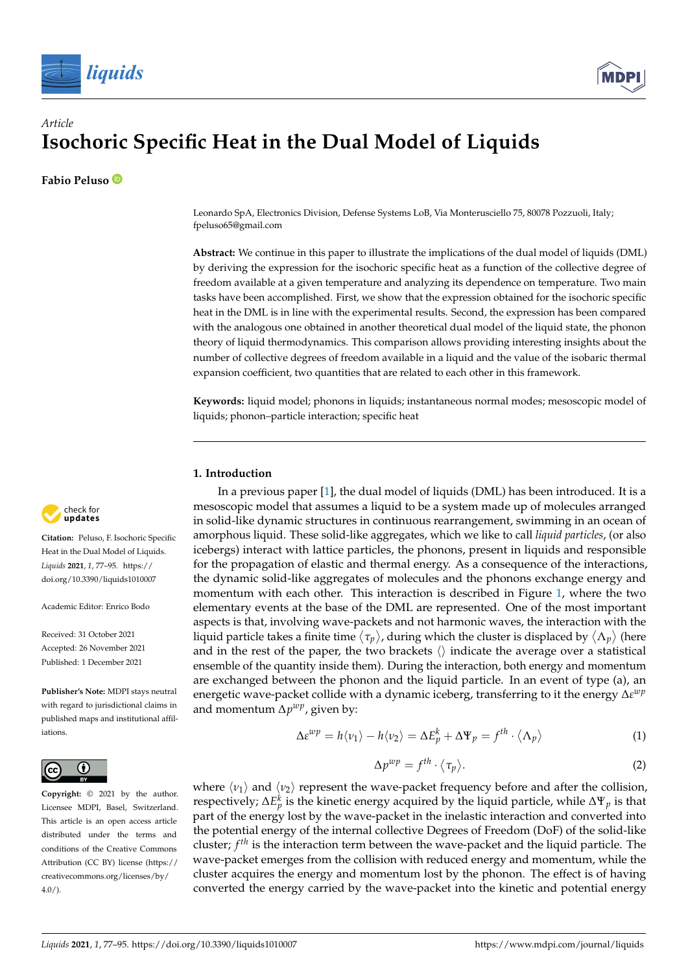



# *Article* **Isochoric Specific Heat in the Dual Model of Liquids**

**Fabio Peluso**

Leonardo SpA, Electronics Division, Defense Systems LoB, Via Monterusciello 75, 80078 Pozzuoli, Italy; fpeluso65@gmail.com

**Abstract:** We continue in this paper to illustrate the implications of the dual model of liquids (DML) by deriving the expression for the isochoric specific heat as a function of the collective degree of freedom available at a given temperature and analyzing its dependence on temperature. Two main tasks have been accomplished. First, we show that the expression obtained for the isochoric specific heat in the DML is in line with the experimental results. Second, the expression has been compared with the analogous one obtained in another theoretical dual model of the liquid state, the phonon theory of liquid thermodynamics. This comparison allows providing interesting insights about the number of collective degrees of freedom available in a liquid and the value of the isobaric thermal expansion coefficient, two quantities that are related to each other in this framework.

**Keywords:** liquid model; phonons in liquids; instantaneous normal modes; mesoscopic model of liquids; phonon–particle interaction; specific heat

## **1. Introduction**

In a previous paper  $[1]$ , the dual model of liquids (DML) has been introduced. It is a mesoscopic model that assumes a liquid to be a system made up of molecules arranged in solid-like dynamic structures in continuous rearrangement, swimming in an ocean of amorphous liquid. These solid-like aggregates, which we like to call *liquid particles*, (or also icebergs) interact with lattice particles, the phonons, present in liquids and responsible for the propagation of elastic and thermal energy. As a consequence of the interactions, the dynamic solid-like aggregates of molecules and the phonons exchange energy and momentum with each other. This interaction is described in Figure [1,](#page-2-0) where the two elementary events at the base of the DML are represented. One of the most important aspects is that, involving wave-packets and not harmonic waves, the interaction with the liquid particle takes a finite time  $\langle\tau_p\rangle$ , during which the cluster is displaced by  $\langle\Lambda_p\rangle$  (here and in the rest of the paper, the two brackets  $\langle \rangle$  indicate the average over a statistical ensemble of the quantity inside them). During the interaction, both energy and momentum are exchanged between the phonon and the liquid particle. In an event of type (a), an energetic wave-packet collide with a dynamic iceberg, transferring to it the energy ∆*ε wp* and momentum ∆*p wp*, given by:

$$
\Delta \varepsilon^{wp} = h \langle \nu_1 \rangle - h \langle \nu_2 \rangle = \Delta E_p^k + \Delta \Psi_p = f^{th} \cdot \langle \Lambda_p \rangle \tag{1}
$$

$$
\Delta p^{wp} = f^{th} \cdot \langle \tau_p \rangle. \tag{2}
$$

where  $\langle v_1 \rangle$  and  $\langle v_2 \rangle$  represent the wave-packet frequency before and after the collision, respectively;  $\Delta E_p^k$  is the kinetic energy acquired by the liquid particle, while  $\Delta \Psi_p$  is that part of the energy lost by the wave-packet in the inelastic interaction and converted into the potential energy of the internal collective Degrees of Freedom (DoF) of the solid-like cluster; *f th* is the interaction term between the wave-packet and the liquid particle. The wave-packet emerges from the collision with reduced energy and momentum, while the cluster acquires the energy and momentum lost by the phonon. The effect is of having converted the energy carried by the wave-packet into the kinetic and potential energy



**Citation:** Peluso, F. Isochoric Specific Heat in the Dual Model of Liquids. *Liquids* **2021**, *1*, 77–95. [https://](https://doi.org/10.3390/liquids1010007) [doi.org/10.3390/liquids1010007](https://doi.org/10.3390/liquids1010007)

Academic Editor: Enrico Bodo

Received: 31 October 2021 Accepted: 26 November 2021 Published: 1 December 2021

**Publisher's Note:** MDPI stays neutral with regard to jurisdictional claims in published maps and institutional affiliations.



**Copyright:** © 2021 by the author. Licensee MDPI, Basel, Switzerland. This article is an open access article distributed under the terms and conditions of the Creative Commons Attribution (CC BY) license (https:/[/](https://creativecommons.org/licenses/by/4.0/) [creativecommons.org/licenses/by/](https://creativecommons.org/licenses/by/4.0/)  $4.0/$ ).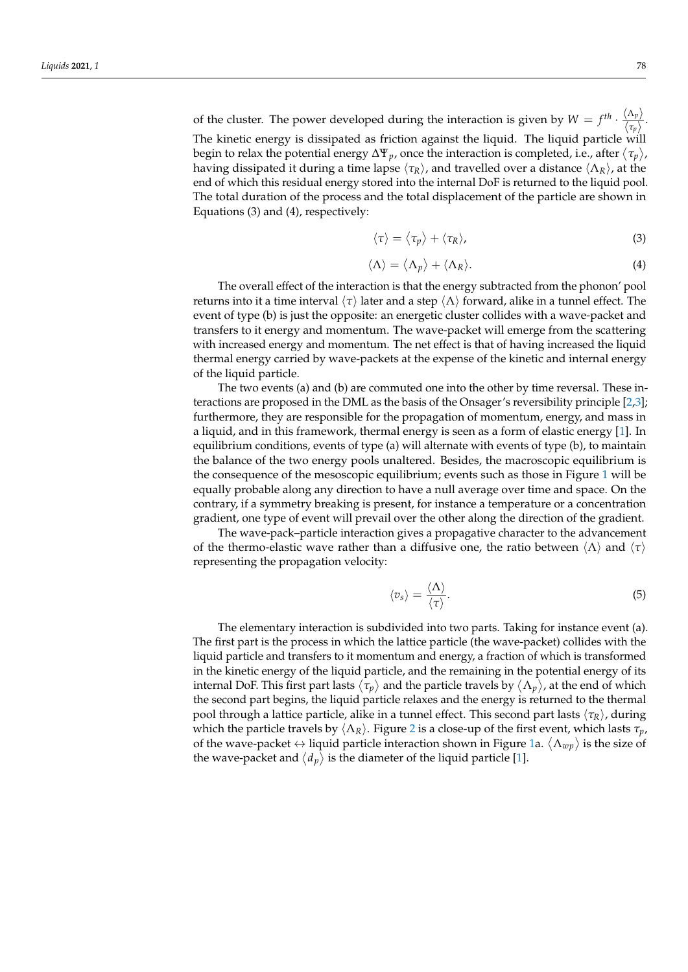of the cluster. The power developed during the interaction is given by  $W = f^{th} \cdot \frac{\langle \Lambda_p \rangle}{\langle \sigma \rangle}$  $\frac{\sqrt{np}}{\langle \tau_p \rangle}$ . The kinetic energy is dissipated as friction against the liquid. The liquid particle will begin to relax the potential energy  $\Delta \Psi_p$ , once the interaction is completed, i.e., after  $\langle\tau_p\rangle$ , having dissipated it during a time lapse  $\langle \tau_R \rangle$ , and travelled over a distance  $\langle \Lambda_R \rangle$ , at the end of which this residual energy stored into the internal DoF is returned to the liquid pool. The total duration of the process and the total displacement of the particle are shown in Equations (3) and (4), respectively:

$$
\langle \tau \rangle = \langle \tau_p \rangle + \langle \tau_R \rangle, \tag{3}
$$

$$
\langle \Lambda \rangle = \langle \Lambda_p \rangle + \langle \Lambda_R \rangle. \tag{4}
$$

The overall effect of the interaction is that the energy subtracted from the phonon' pool returns into it a time interval  $\langle \tau \rangle$  later and a step  $\langle \Lambda \rangle$  forward, alike in a tunnel effect. The event of type (b) is just the opposite: an energetic cluster collides with a wave-packet and transfers to it energy and momentum. The wave-packet will emerge from the scattering with increased energy and momentum. The net effect is that of having increased the liquid thermal energy carried by wave-packets at the expense of the kinetic and internal energy of the liquid particle.

The two events (a) and (b) are commuted one into the other by time reversal. These interactions are proposed in the DML as the basis of the Onsager's reversibility principle [\[2](#page-17-1)[,3\]](#page-17-2); furthermore, they are responsible for the propagation of momentum, energy, and mass in a liquid, and in this framework, thermal energy is seen as a form of elastic energy [\[1\]](#page-17-0). In equilibrium conditions, events of type (a) will alternate with events of type (b), to maintain the balance of the two energy pools unaltered. Besides, the macroscopic equilibrium is the consequence of the mesoscopic equilibrium; events such as those in Figure [1](#page-2-0) will be equally probable along any direction to have a null average over time and space. On the contrary, if a symmetry breaking is present, for instance a temperature or a concentration gradient, one type of event will prevail over the other along the direction of the gradient.

The wave-pack–particle interaction gives a propagative character to the advancement of the thermo-elastic wave rather than a diffusive one, the ratio between  $\langle \Lambda \rangle$  and  $\langle \tau \rangle$ representing the propagation velocity:

$$
\langle v_s \rangle = \frac{\langle \Lambda \rangle}{\langle \tau \rangle}.
$$
 (5)

The elementary interaction is subdivided into two parts. Taking for instance event (a). The first part is the process in which the lattice particle (the wave-packet) collides with the liquid particle and transfers to it momentum and energy, a fraction of which is transformed in the kinetic energy of the liquid particle, and the remaining in the potential energy of its internal DoF. This first part lasts  $\langle\tau_p\rangle$  and the particle travels by  $\langle\Lambda_p\rangle$ , at the end of which the second part begins, the liquid particle relaxes and the energy is returned to the thermal pool through a lattice particle, alike in a tunnel effect. This second part lasts h*τR*i, during which the particle travels by  $\langle \Lambda_R \rangle$ . Figure [2](#page-3-0) is a close-up of the first event, which lasts  $\tau_p$ , of the wave-packet  $\leftrightarrow$  liquid particle interaction shown in Figure [1a](#page-2-0).  $\langle \Lambda_{wp} \rangle$  is the size of the wave-packet and  $\langle d_p \rangle$  is the diameter of the liquid particle [\[1\]](#page-17-0).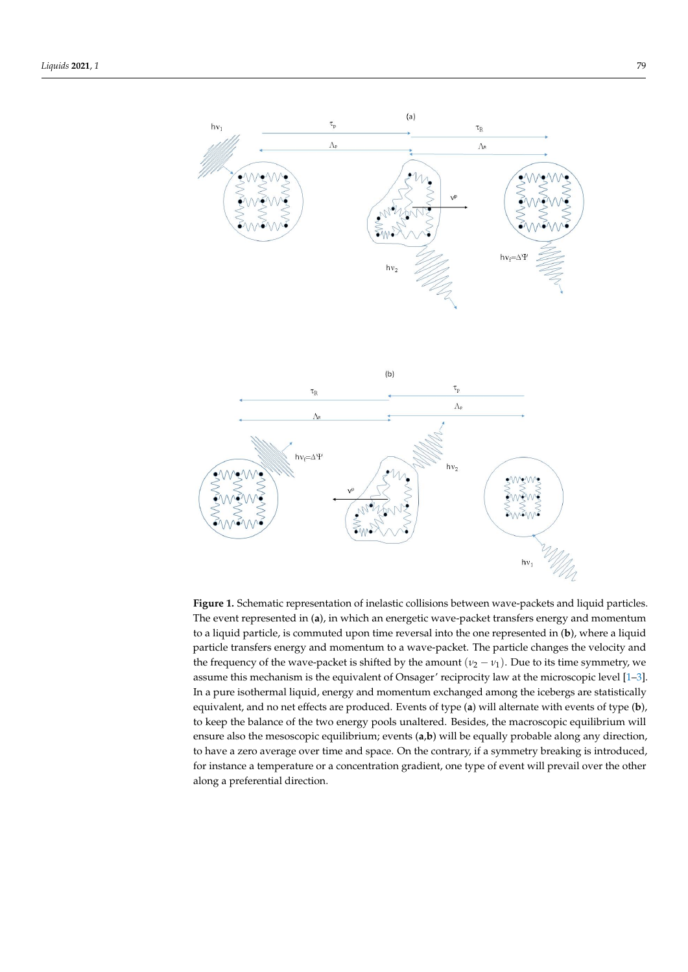<span id="page-2-0"></span>

The event represented in (**a**), in which an energetic wave-packet transfers energy and momentum<br>The event represented in (**a**), in which an energetic wave-packet transfers energy and momentum to a liquid particle, is commuted upon time reversal into the one represented in (**b**), where a liquid  $\frac{1}{2}$ particle transfers energy and momentum to a wave-packet. The particle changes the velocity and the frequency of the wave-packet is shifted by the amount (*v*<sub>2</sub> − *v*<sub>1</sub>). Due to its time symmetry, we the frequency and the wave-particular of the sequence is shifted by the amount ( 1–0 . 1 . Due to its time to i<br>In a pure isothermal liquid, energy and momentum exchanged among the icebergs are statistically equivalent, and no net effects are produced. Events of type (**a**) will alternate with events of type (**b**), to keep the balance of the two energy pools unaltered. Besides, the macroscopic equilibrium will ensure also the mesoscopic equilibrium; events (**a**,**b**) will be equally probable along any direction, to have a zero average over time and space. On the contrary, if a symmetry breaking is introduced, for instance a temperature or a concentration gradient, one type of event will prevail over the other along a preferential direction.  $\mathcal{O}_1$ **Figure 1.** Schematic representation of inelastic collisions between wave-packets and liquid particles. assume this mechanism is the equivalent of Onsager' reciprocity law at the microscopic level [\[1–](#page-17-0)[3\]](#page-17-2).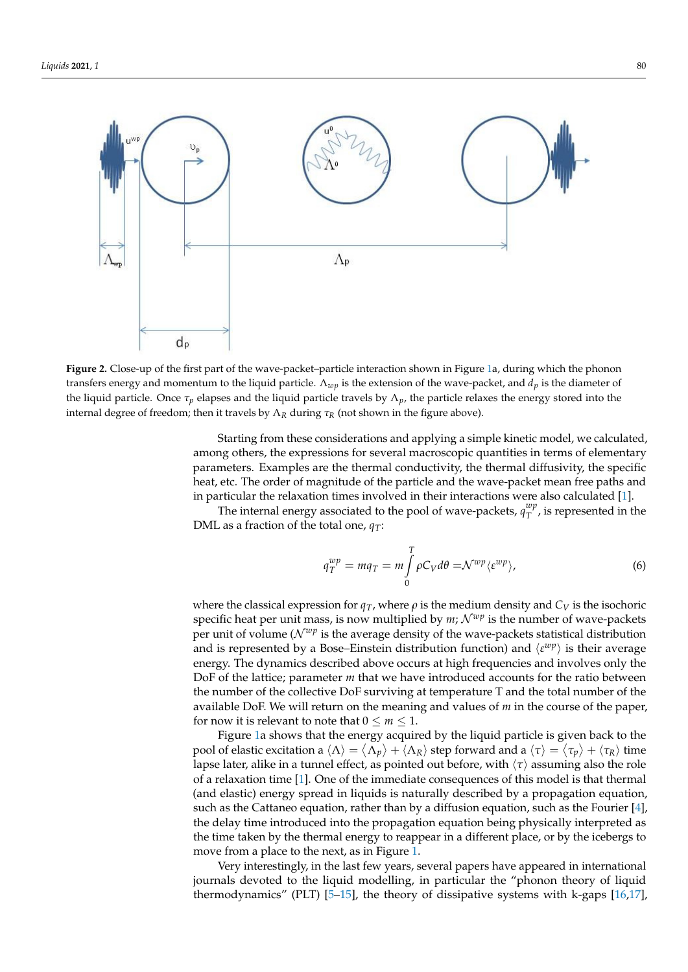<span id="page-3-0"></span>

of the liquid particle  $\mathcal{L}$  the liquid particle  $\mathcal{L}$ 

transfers energy and momentum to the liquid particle.  $\Lambda_{wp}$  is the extension of the wave-packet, and  $d_p$  is the diameter of the liquid particle. Once  $\tau_p$  elapses and the liquid particle travels by  $\Lambda_p$ , the particle relaxes the energy stored into the internal degree of freedom; then it travels by  $\Lambda_R$  during  $\tau_R$  (not shown in the figure above). **Figure 2.** Close-up of the first part of the wave-packet–particle interaction shown in Figure [1a](#page-2-0), during which the phonon

*Starting from these considerations and applying a simple kinetic model, we calculated,* parameters. Examples are the thermal conductivity, the thermal diffusivity, the specific heat, etc. The order of magnitude of the particle and the wave-packet mean free paths and in particular the relaxation times involved in their interactions were also calculated [\[1\]](#page-17-0). among others, the expressions for several macroscopic quantities in terms of elementary

The internal energy associated to the pool of wave-packets,  $q_T^{wp}$ , is represented in the DML as a fraction of the total one,  $q_T$ :  $T^{\mu\nu}_{T}$ , is represented in the

$$
q_T^{wp} = mq_T = m \int\limits_0^T \rho C_V d\theta = \mathcal{N}^{wp} \langle \varepsilon^{wp} \rangle, \tag{6}
$$

specific heat per unit mass, is now multiplied by  $m$ ;  $\mathcal{N}^{wp}$  is the number of wave-packets<br>per unit of volume ( $\mathcal{N}^{wp}$  is the average density of the wave-packets statistical distribution where the classical expression for  $q_T$ , where  $\rho$  is the medium density and  $C_V$  is the isochoric *T V* per unit of volume ( $N^{wp}$  is the average density of the wave-packets statistical distribution energy. The dynamics described above occurs at high frequencies and involves only the  $\overline{P}$ *Bor* of the *lattice*, *parameter <i>m* that we have intoduced accounts for the rand between the number of the collective DoF surviving at temperature T and the total number of the available DoF. We will return on the meaning and values of *m* in the course of the paper, and is represented by a Bose–Einstein distribution function) and  $\langle \varepsilon^{wp} \rangle$  is their average DoF of the lattice; parameter *m* that we have introduced accounts for the ratio between for now it is relevant to note that  $0 \le m \le 1$ .

Figure [1a](#page-2-0) shows that the energy acquired by the liquid particle is given back to the pool of elastic excitation a  $\langle Λ \rangle = \langle Λ_p \rangle + \langle Λ_R \rangle$  step forward and a  $\langle τ \rangle = \langle τ_p \rangle + \langle τ_R \rangle$  time lapse later, alike in a tunnel effect, as pointed out before, with  $\langle \tau \rangle$  assuming also the role of a relaxation time [\[1\]](#page-17-0). One of the immediate consequences of this model is that thermal (and elastic) energy spread in liquids is naturally described by a propagation equation, such as the Cattaneo equation, rather than by a diffusion equation, such as the Fourier [\[4\]](#page-17-3), the delay time introduced into the propagation equation being physically interpreted as the time taken by the thermal energy to reappear in a different place, or by the icebergs to move from a place to the next, as in Figure [1.](#page-2-0)

Very interestingly, in the last few years, several papers have appeared in international journals devoted to the liquid modelling, in particular the "phonon theory of liquid thermodynamics" (PLT) [\[5](#page-17-4)[–15\]](#page-17-5), the theory of dissipative systems with k-gaps [\[16,](#page-17-6)[17\]](#page-17-7),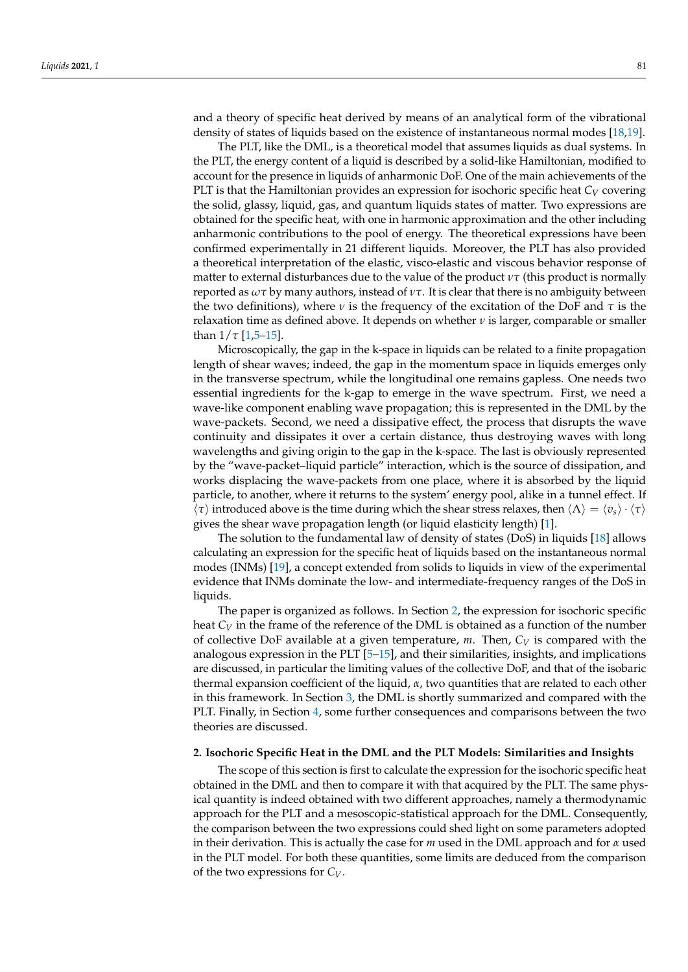and a theory of specific heat derived by means of an analytical form of the vibrational density of states of liquids based on the existence of instantaneous normal modes [\[18](#page-17-8)[,19\]](#page-17-9).

The PLT, like the DML, is a theoretical model that assumes liquids as dual systems. In the PLT, the energy content of a liquid is described by a solid-like Hamiltonian, modified to account for the presence in liquids of anharmonic DoF. One of the main achievements of the PLT is that the Hamiltonian provides an expression for isochoric specific heat *C<sup>V</sup>* covering the solid, glassy, liquid, gas, and quantum liquids states of matter. Two expressions are obtained for the specific heat, with one in harmonic approximation and the other including anharmonic contributions to the pool of energy. The theoretical expressions have been confirmed experimentally in 21 different liquids. Moreover, the PLT has also provided a theoretical interpretation of the elastic, visco-elastic and viscous behavior response of matter to external disturbances due to the value of the product  $\nu\tau$  (this product is normally reported as *ωτ* by many authors, instead of *ντ*. It is clear that there is no ambiguity between the two definitions), where *ν* is the frequency of the excitation of the DoF and *τ* is the relaxation time as defined above. It depends on whether *ν* is larger, comparable or smaller than  $1/\tau$  [\[1](#page-17-0)[,5–](#page-17-4)[15\]](#page-17-5).

Microscopically, the gap in the k-space in liquids can be related to a finite propagation length of shear waves; indeed, the gap in the momentum space in liquids emerges only in the transverse spectrum, while the longitudinal one remains gapless. One needs two essential ingredients for the k-gap to emerge in the wave spectrum. First, we need a wave-like component enabling wave propagation; this is represented in the DML by the wave-packets. Second, we need a dissipative effect, the process that disrupts the wave continuity and dissipates it over a certain distance, thus destroying waves with long wavelengths and giving origin to the gap in the k-space. The last is obviously represented by the "wave-packet–liquid particle" interaction, which is the source of dissipation, and works displacing the wave-packets from one place, where it is absorbed by the liquid particle, to another, where it returns to the system' energy pool, alike in a tunnel effect. If  $\langle \tau \rangle$  introduced above is the time during which the shear stress relaxes, then  $\langle \Lambda \rangle = \langle v_s \rangle \cdot \langle \tau \rangle$ gives the shear wave propagation length (or liquid elasticity length) [\[1\]](#page-17-0).

The solution to the fundamental law of density of states (DoS) in liquids [\[18\]](#page-17-8) allows calculating an expression for the specific heat of liquids based on the instantaneous normal modes (INMs) [\[19\]](#page-17-9), a concept extended from solids to liquids in view of the experimental evidence that INMs dominate the low- and intermediate-frequency ranges of the DoS in liquids.

The paper is organized as follows. In Section [2,](#page-4-0) the expression for isochoric specific heat  $C_V$  in the frame of the reference of the DML is obtained as a function of the number of collective DoF available at a given temperature, *m*. Then, *C<sup>V</sup>* is compared with the analogous expression in the PLT [\[5–](#page-17-4)[15\]](#page-17-5), and their similarities, insights, and implications are discussed, in particular the limiting values of the collective DoF, and that of the isobaric thermal expansion coefficient of the liquid, *α*, two quantities that are related to each other in this framework. In Section [3,](#page-7-0) the DML is shortly summarized and compared with the PLT. Finally, in Section [4,](#page-14-0) some further consequences and comparisons between the two theories are discussed.

#### <span id="page-4-0"></span>**2. Isochoric Specific Heat in the DML and the PLT Models: Similarities and Insights**

The scope of this section is first to calculate the expression for the isochoric specific heat obtained in the DML and then to compare it with that acquired by the PLT. The same physical quantity is indeed obtained with two different approaches, namely a thermodynamic approach for the PLT and a mesoscopic-statistical approach for the DML. Consequently, the comparison between the two expressions could shed light on some parameters adopted in their derivation. This is actually the case for *m* used in the DML approach and for *α* used in the PLT model. For both these quantities, some limits are deduced from the comparison of the two expressions for *CV*.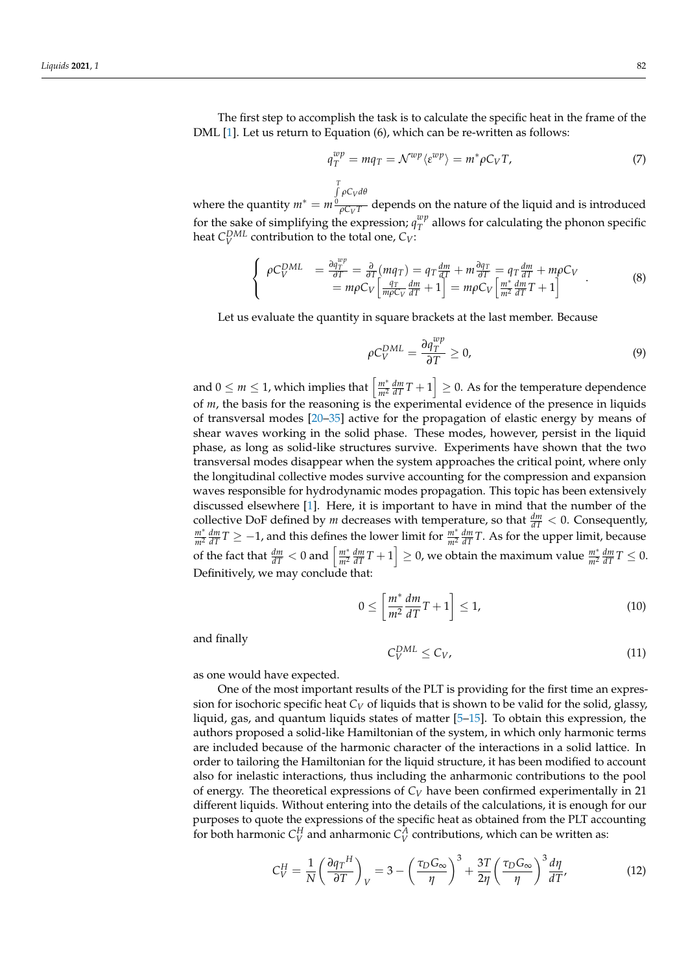The first step to accomplish the task is to calculate the specific heat in the frame of the DML [\[1\]](#page-17-0). Let us return to Equation (6), which can be re-written as follows:

$$
q_T^{wp} = mq_T = \mathcal{N}^{wp} \langle \varepsilon^{wp} \rangle = m^* \rho C_V T, \tag{7}
$$

where the quantity  $m^* = m$ R*T* 0 *ρC<sup>V</sup> dθ*  $\frac{\partial^2 \mathcal{C}}{\partial \mathcal{C}}$  depends on the nature of the liquid and is introduced for the sake of simplifying the expression;  $q_T^{wp}$  $T^{\mu \nu}_{T}$  allows for calculating the phonon specific heat  $C_V^{DML}$  contribution to the total one,  $C_V$ :

$$
\begin{cases}\n\rho C_V^{DML} = \frac{\partial q_T^{wp}}{\partial T} = \frac{\partial}{\partial T} (mq_T) = q_T \frac{dm}{dT} + m \frac{\partial q_T}{\partial T} = q_T \frac{dm}{dT} + m\rho C_V \\
= m\rho C_V \left[ \frac{q_T}{m\rho C_V} \frac{dm}{dT} + 1 \right] = m\rho C_V \left[ \frac{m^*}{m^2} \frac{dm}{dT} T + 1 \right]\n\end{cases} \tag{8}
$$

Let us evaluate the quantity in square brackets at the last member. Because

$$
\rho C_V^{DML} = \frac{\partial q_T^{wp}}{\partial T} \ge 0,
$$
\n(9)

and  $0 \le m \le 1$ , which implies that  $\left\lceil \frac{m^*}{m^2} \right\rceil$  $\left\lceil \frac{m^*}{m^2}\frac{dm}{dT}T+1\right\rceil \geq 0.$  As for the temperature dependence of *m*, the basis for the reasoning is the experimental evidence of the presence in liquids of transversal modes [\[20–](#page-17-10)[35\]](#page-18-0) active for the propagation of elastic energy by means of shear waves working in the solid phase. These modes, however, persist in the liquid phase, as long as solid-like structures survive. Experiments have shown that the two transversal modes disappear when the system approaches the critical point, where only the longitudinal collective modes survive accounting for the compression and expansion waves responsible for hydrodynamic modes propagation. This topic has been extensively discussed elsewhere [\[1\]](#page-17-0). Here, it is important to have in mind that the number of the collective DoF defined by *m* decreases with temperature, so that  $\frac{dm}{dT} < 0$ . Consequently, *m*∗  $\frac{m^*}{m^2} \frac{dm}{dT} T \ge -1$ , and this defines the lower limit for  $\frac{m^*}{m^2} \frac{dm}{dT} T$ . As for the upper limit, because of the fact that  $\frac{dm}{dT} < 0$  and  $\left\lceil \frac{m^*}{m^2} \right\rceil$  $\left[\frac{m^*}{m^2}\frac{dm}{dT}T+1\right]\geq 0$ , we obtain the maximum value  $\frac{m^*}{m^2}\frac{dm}{dT}T\leq 0.$ Definitively, we may conclude that:

$$
0 \le \left[\frac{m^*}{m^2}\frac{dm}{dT}T + 1\right] \le 1,\tag{10}
$$

and finally

$$
C_V^{DML} \leq C_V,\tag{11}
$$

as one would have expected.

One of the most important results of the PLT is providing for the first time an expression for isochoric specific heat *C<sup>V</sup>* of liquids that is shown to be valid for the solid, glassy, liquid, gas, and quantum liquids states of matter  $[5-15]$  $[5-15]$ . To obtain this expression, the authors proposed a solid-like Hamiltonian of the system, in which only harmonic terms are included because of the harmonic character of the interactions in a solid lattice. In order to tailoring the Hamiltonian for the liquid structure, it has been modified to account also for inelastic interactions, thus including the anharmonic contributions to the pool of energy. The theoretical expressions of *C<sup>V</sup>* have been confirmed experimentally in 21 different liquids. Without entering into the details of the calculations, it is enough for our purposes to quote the expressions of the specific heat as obtained from the PLT accounting for both harmonic  $C_V^H$  and anharmonic  $C_V^A$  contributions, which can be written as:

$$
C_V^H = \frac{1}{N} \left( \frac{\partial q_T^H}{\partial T} \right)_V = 3 - \left( \frac{\tau_D G_\infty}{\eta} \right)^3 + \frac{3T}{2\eta} \left( \frac{\tau_D G_\infty}{\eta} \right)^3 \frac{d\eta}{dT'},\tag{12}
$$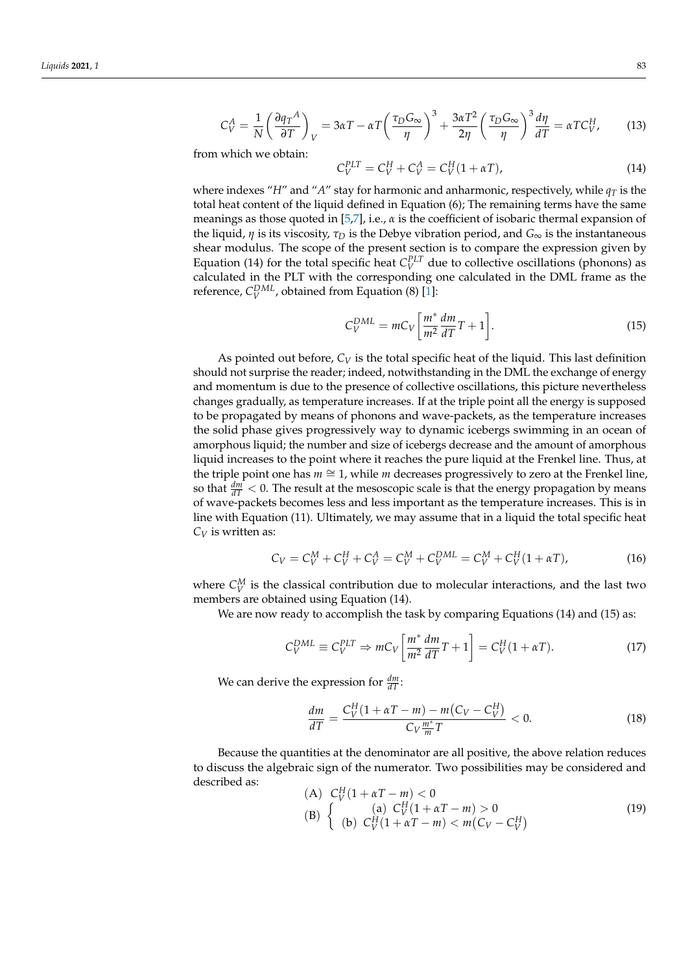$$
C_V^A = \frac{1}{N} \left( \frac{\partial q_T^A}{\partial T} \right)_V = 3\alpha T - \alpha T \left( \frac{\tau_D G_\infty}{\eta} \right)^3 + \frac{3\alpha T^2}{2\eta} \left( \frac{\tau_D G_\infty}{\eta} \right)^3 \frac{d\eta}{dT} = \alpha T C_V^H,
$$
 (13)

from which we obtain:

$$
C_V^{PLT} = C_V^H + C_V^A = C_V^H (1 + \alpha T), \tag{14}
$$

where indexes "*H*" and "*A*" stay for harmonic and anharmonic, respectively, while  $q<sub>T</sub>$  is the total heat content of the liquid defined in Equation (6); The remaining terms have the same meanings as those quoted in [\[5](#page-17-4)[,7\]](#page-17-11), i.e., *α* is the coefficient of isobaric thermal expansion of the liquid, *η* is its viscosity, *τ<sup>D</sup>* is the Debye vibration period, and *G*<sup>∞</sup> is the instantaneous shear modulus. The scope of the present section is to compare the expression given by Equation (14) for the total specific heat  $C_V^{PLT}$  due to collective oscillations (phonons) as calculated in the PLT with the corresponding one calculated in the DML frame as the reference,  $C_V^{DML}$ , obtained from Equation (8) [\[1\]](#page-17-0):

$$
C_V^{DML} = mC_V \left[ \frac{m^*}{m^2} \frac{dm}{dT} T + 1 \right]. \tag{15}
$$

As pointed out before,  $C_V$  is the total specific heat of the liquid. This last definition should not surprise the reader; indeed, notwithstanding in the DML the exchange of energy and momentum is due to the presence of collective oscillations, this picture nevertheless changes gradually, as temperature increases. If at the triple point all the energy is supposed to be propagated by means of phonons and wave-packets, as the temperature increases the solid phase gives progressively way to dynamic icebergs swimming in an ocean of amorphous liquid; the number and size of icebergs decrease and the amount of amorphous liquid increases to the point where it reaches the pure liquid at the Frenkel line. Thus, at the triple point one has *m* ≅ 1, while *m* decreases progressively to zero at the Frenkel line, so that  $\frac{dm}{dT}$  < 0. The result at the mesoscopic scale is that the energy propagation by means of wave-packets becomes less and less important as the temperature increases. This is in line with Equation (11). Ultimately, we may assume that in a liquid the total specific heat *C<sup>V</sup>* is written as:

$$
C_V = C_V^M + C_V^H + C_V^A = C_V^M + C_V^{DML} = C_V^M + C_V^H (1 + \alpha T), \tag{16}
$$

where  $C_V^M$  is the classical contribution due to molecular interactions, and the last two members are obtained using Equation (14).

We are now ready to accomplish the task by comparing Equations (14) and (15) as:

$$
C_V^{DML} \equiv C_V^{PLT} \Rightarrow mC_V \left[ \frac{m^*}{m^2} \frac{dm}{dT} T + 1 \right] = C_V^H (1 + \alpha T). \tag{17}
$$

We can derive the expression for  $\frac{dm}{dT}$ :

$$
\frac{dm}{dT} = \frac{C_V^H (1 + \alpha T - m) - m (C_V - C_V^H)}{C_V \frac{m^*}{m} T} < 0. \tag{18}
$$

Because the quantities at the denominator are all positive, the above relation reduces to discuss the algebraic sign of the numerator. Two possibilities may be considered and described as:

(A) 
$$
C_V^H (1 + \alpha T - m) < 0
$$
  
\n(B)  $\begin{cases} (a) C_V^H (1 + \alpha T - m) > 0 \\ (b) C_V^H (1 + \alpha T - m) < m(C_V - C_V^H) \end{cases}$  (19)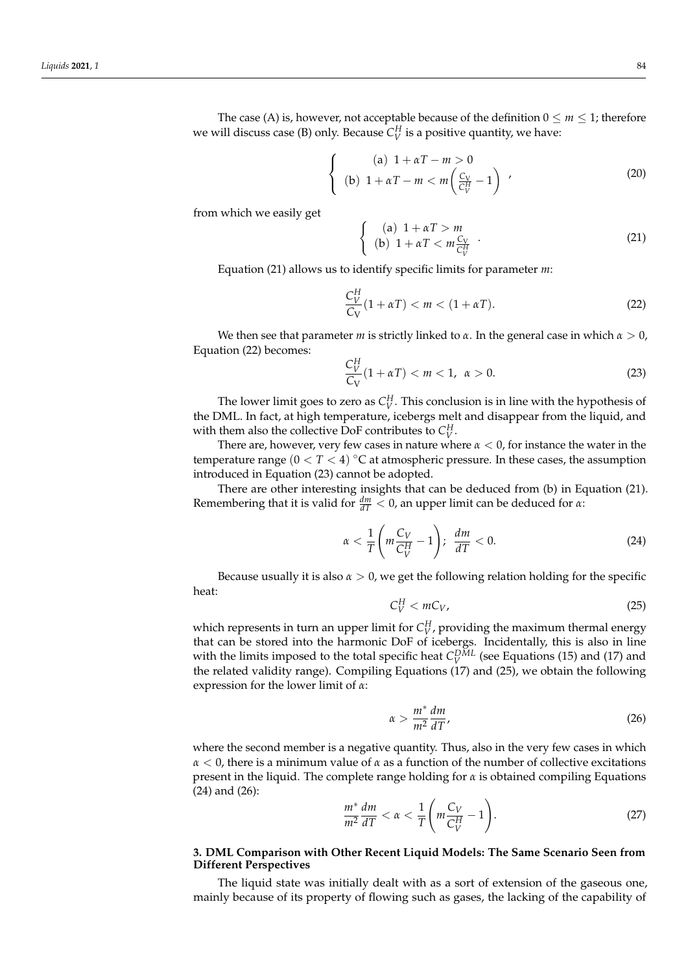The case (A) is, however, not acceptable because of the definition  $0 \le m \le 1$ ; therefore we will discuss case (B) only. Because  $C_V^H$  is a positive quantity, we have:

$$
\begin{cases}\n(a) \quad 1 + \alpha T - m > 0 \\
(b) \quad 1 + \alpha T - m < m \left( \frac{C_V}{C_V^H} - 1 \right)\n\end{cases}\n\tag{20}
$$

from which we easily get

$$
\begin{cases}\n(a) \ 1 + \alpha T > m \\
(b) \ 1 + \alpha T < m \frac{C_V}{C_V^H}\n\end{cases}.\n\tag{21}
$$

Equation (21) allows us to identify specific limits for parameter *m*:

$$
\frac{C_V^H}{C_V}(1+\alpha T) < m < (1+\alpha T). \tag{22}
$$

We then see that parameter *m* is strictly linked to  $\alpha$ . In the general case in which  $\alpha > 0$ , Equation (22) becomes:

$$
\frac{C_V^H}{C_V}(1+\alpha T) < m < 1, \ \alpha > 0. \tag{23}
$$

The lower limit goes to zero as  $C_V^H$ . This conclusion is in line with the hypothesis of the DML. In fact, at high temperature, icebergs melt and disappear from the liquid, and with them also the collective DoF contributes to  $C_V^H$ .

There are, however, very few cases in nature where *α* < 0, for instance the water in the temperature range (0 < *T* < 4) ◦C at atmospheric pressure. In these cases, the assumption introduced in Equation (23) cannot be adopted.

There are other interesting insights that can be deduced from (b) in Equation (21). Remembering that it is valid for  $\frac{dm}{dT} < 0$ , an upper limit can be deduced for *α*:

$$
\alpha < \frac{1}{T} \left( m \frac{C_V}{C_V^H} - 1 \right); \quad \frac{dm}{dT} < 0. \tag{24}
$$

Because usually it is also  $\alpha > 0$ , we get the following relation holding for the specific heat:

$$
C_V^H < mC_V, \tag{25}
$$

which represents in turn an upper limit for  $C_V^H$ , providing the maximum thermal energy that can be stored into the harmonic DoF of icebergs. Incidentally, this is also in line with the limits imposed to the total specific heat  $C_V^{DML}$  (see Equations (15) and (17) and the related validity range). Compiling Equations (17) and (25), we obtain the following expression for the lower limit of *α*:

$$
\alpha > \frac{m^*}{m^2} \frac{dm}{dT},\tag{26}
$$

where the second member is a negative quantity. Thus, also in the very few cases in which *α* < 0, there is a minimum value of *α* as a function of the number of collective excitations present in the liquid. The complete range holding for  $\alpha$  is obtained compiling Equations (24) and (26):

$$
\frac{m^*}{m^2}\frac{dm}{dT} < \alpha < \frac{1}{T} \left( m \frac{C_V}{C_V^H} - 1 \right). \tag{27}
$$

# <span id="page-7-0"></span>**3. DML Comparison with Other Recent Liquid Models: The Same Scenario Seen from Different Perspectives**

The liquid state was initially dealt with as a sort of extension of the gaseous one, mainly because of its property of flowing such as gases, the lacking of the capability of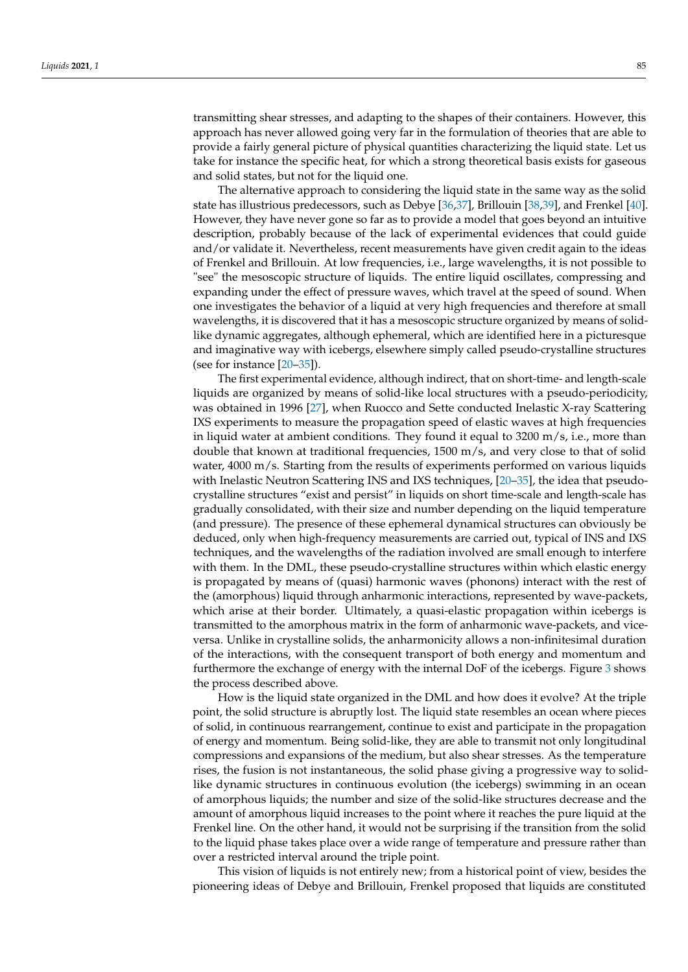transmitting shear stresses, and adapting to the shapes of their containers. However, this approach has never allowed going very far in the formulation of theories that are able to provide a fairly general picture of physical quantities characterizing the liquid state. Let us take for instance the specific heat, for which a strong theoretical basis exists for gaseous and solid states, but not for the liquid one.

The alternative approach to considering the liquid state in the same way as the solid state has illustrious predecessors, such as Debye [\[36](#page-18-1)[,37\]](#page-18-2), Brillouin [\[38,](#page-18-3)[39\]](#page-18-4), and Frenkel [\[40\]](#page-18-5). However, they have never gone so far as to provide a model that goes beyond an intuitive description, probably because of the lack of experimental evidences that could guide and/or validate it. Nevertheless, recent measurements have given credit again to the ideas of Frenkel and Brillouin. At low frequencies, i.e., large wavelengths, it is not possible to "see" the mesoscopic structure of liquids. The entire liquid oscillates, compressing and expanding under the effect of pressure waves, which travel at the speed of sound. When one investigates the behavior of a liquid at very high frequencies and therefore at small wavelengths, it is discovered that it has a mesoscopic structure organized by means of solidlike dynamic aggregates, although ephemeral, which are identified here in a picturesque and imaginative way with icebergs, elsewhere simply called pseudo-crystalline structures (see for instance [\[20–](#page-17-10)[35\]](#page-18-0)).

The first experimental evidence, although indirect, that on short-time- and length-scale liquids are organized by means of solid-like local structures with a pseudo-periodicity, was obtained in 1996 [\[27\]](#page-17-12), when Ruocco and Sette conducted Inelastic X-ray Scattering IXS experiments to measure the propagation speed of elastic waves at high frequencies in liquid water at ambient conditions. They found it equal to 3200 m/s, i.e., more than double that known at traditional frequencies, 1500 m/s, and very close to that of solid water, 4000 m/s. Starting from the results of experiments performed on various liquids with Inelastic Neutron Scattering INS and IXS techniques, [\[20–](#page-17-10)[35\]](#page-18-0), the idea that pseudocrystalline structures "exist and persist" in liquids on short time-scale and length-scale has gradually consolidated, with their size and number depending on the liquid temperature (and pressure). The presence of these ephemeral dynamical structures can obviously be deduced, only when high-frequency measurements are carried out, typical of INS and IXS techniques, and the wavelengths of the radiation involved are small enough to interfere with them. In the DML, these pseudo-crystalline structures within which elastic energy is propagated by means of (quasi) harmonic waves (phonons) interact with the rest of the (amorphous) liquid through anharmonic interactions, represented by wave-packets, which arise at their border. Ultimately, a quasi-elastic propagation within icebergs is transmitted to the amorphous matrix in the form of anharmonic wave-packets, and viceversa. Unlike in crystalline solids, the anharmonicity allows a non-infinitesimal duration of the interactions, with the consequent transport of both energy and momentum and furthermore the exchange of energy with the internal DoF of the icebergs. Figure [3](#page-10-0) shows the process described above.

How is the liquid state organized in the DML and how does it evolve? At the triple point, the solid structure is abruptly lost. The liquid state resembles an ocean where pieces of solid, in continuous rearrangement, continue to exist and participate in the propagation of energy and momentum. Being solid-like, they are able to transmit not only longitudinal compressions and expansions of the medium, but also shear stresses. As the temperature rises, the fusion is not instantaneous, the solid phase giving a progressive way to solidlike dynamic structures in continuous evolution (the icebergs) swimming in an ocean of amorphous liquids; the number and size of the solid-like structures decrease and the amount of amorphous liquid increases to the point where it reaches the pure liquid at the Frenkel line. On the other hand, it would not be surprising if the transition from the solid to the liquid phase takes place over a wide range of temperature and pressure rather than over a restricted interval around the triple point.

This vision of liquids is not entirely new; from a historical point of view, besides the pioneering ideas of Debye and Brillouin, Frenkel proposed that liquids are constituted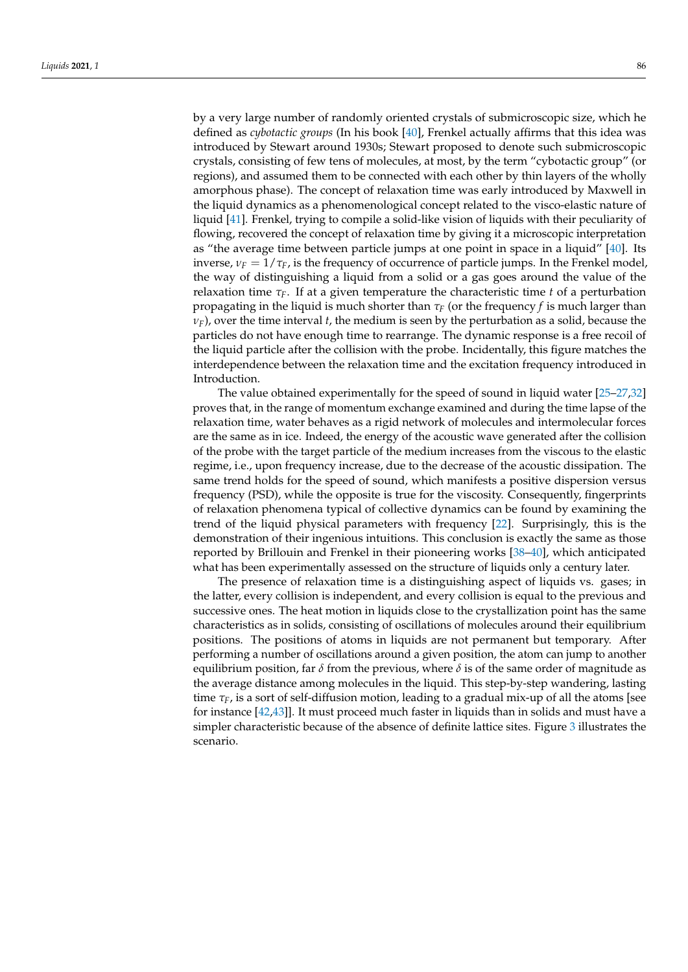by a very large number of randomly oriented crystals of submicroscopic size, which he defined as *cybotactic groups* (In his book [\[40\]](#page-18-5), Frenkel actually affirms that this idea was introduced by Stewart around 1930s; Stewart proposed to denote such submicroscopic crystals, consisting of few tens of molecules, at most, by the term "cybotactic group" (or regions), and assumed them to be connected with each other by thin layers of the wholly amorphous phase). The concept of relaxation time was early introduced by Maxwell in the liquid dynamics as a phenomenological concept related to the visco-elastic nature of liquid [\[41\]](#page-18-6). Frenkel, trying to compile a solid-like vision of liquids with their peculiarity of flowing, recovered the concept of relaxation time by giving it a microscopic interpretation as "the average time between particle jumps at one point in space in a liquid" [\[40\]](#page-18-5). Its inverse,  $\nu_F = 1/\tau_F$ , is the frequency of occurrence of particle jumps. In the Frenkel model, the way of distinguishing a liquid from a solid or a gas goes around the value of the relaxation time  $\tau_F$ . If at a given temperature the characteristic time *t* of a perturbation propagating in the liquid is much shorter than *τ<sup>F</sup>* (or the frequency *f* is much larger than  $v_F$ ), over the time interval *t*, the medium is seen by the perturbation as a solid, because the particles do not have enough time to rearrange. The dynamic response is a free recoil of the liquid particle after the collision with the probe. Incidentally, this figure matches the interdependence between the relaxation time and the excitation frequency introduced in Introduction.

The value obtained experimentally for the speed of sound in liquid water [\[25](#page-17-13)[–27](#page-17-12)[,32\]](#page-17-14) proves that, in the range of momentum exchange examined and during the time lapse of the relaxation time, water behaves as a rigid network of molecules and intermolecular forces are the same as in ice. Indeed, the energy of the acoustic wave generated after the collision of the probe with the target particle of the medium increases from the viscous to the elastic regime, i.e., upon frequency increase, due to the decrease of the acoustic dissipation. The same trend holds for the speed of sound, which manifests a positive dispersion versus frequency (PSD), while the opposite is true for the viscosity. Consequently, fingerprints of relaxation phenomena typical of collective dynamics can be found by examining the trend of the liquid physical parameters with frequency [\[22\]](#page-17-15). Surprisingly, this is the demonstration of their ingenious intuitions. This conclusion is exactly the same as those reported by Brillouin and Frenkel in their pioneering works [\[38](#page-18-3)[–40\]](#page-18-5), which anticipated what has been experimentally assessed on the structure of liquids only a century later.

The presence of relaxation time is a distinguishing aspect of liquids vs. gases; in the latter, every collision is independent, and every collision is equal to the previous and successive ones. The heat motion in liquids close to the crystallization point has the same characteristics as in solids, consisting of oscillations of molecules around their equilibrium positions. The positions of atoms in liquids are not permanent but temporary. After performing a number of oscillations around a given position, the atom can jump to another equilibrium position, far  $\delta$  from the previous, where  $\delta$  is of the same order of magnitude as the average distance among molecules in the liquid. This step-by-step wandering, lasting time  $\tau_F$ , is a sort of self-diffusion motion, leading to a gradual mix-up of all the atoms [see for instance [\[42,](#page-18-7)[43\]](#page-18-8)]. It must proceed much faster in liquids than in solids and must have a simpler characteristic because of the absence of definite lattice sites. Figure [3](#page-10-0) illustrates the scenario.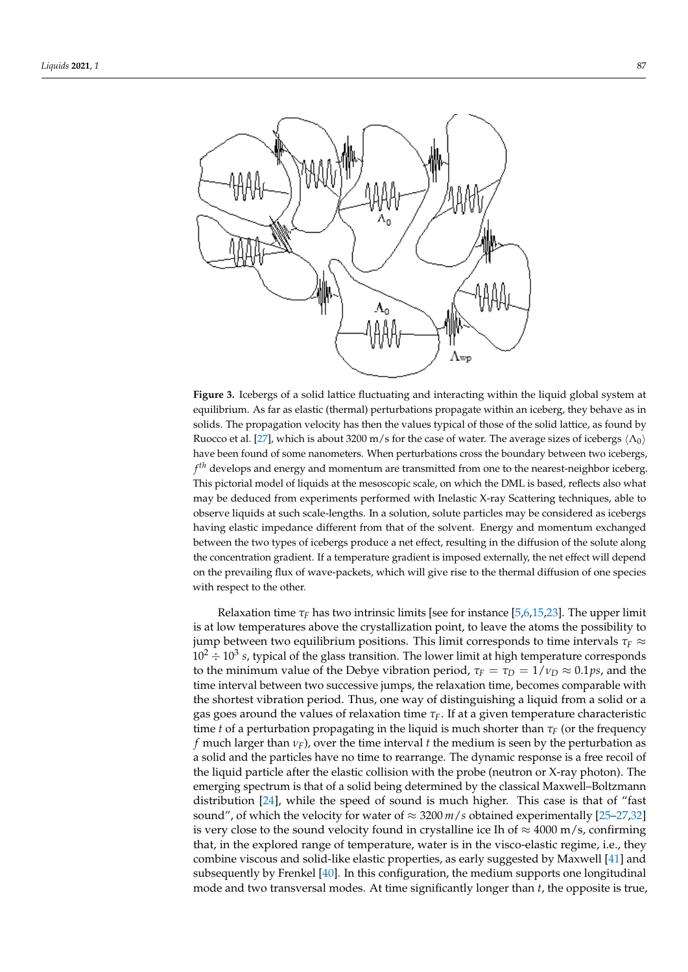<span id="page-10-0"></span>

 $\frac{1}{\sqrt{1-\frac{1}{\sqrt{1-\frac{1}{\sqrt{1-\frac{1}{\sqrt{1-\frac{1}{\sqrt{1-\frac{1}{\sqrt{1-\frac{1}{\sqrt{1-\frac{1}{\sqrt{1-\frac{1}{\sqrt{1-\frac{1}{\sqrt{1-\frac{1}{\sqrt{1-\frac{1}{\sqrt{1-\frac{1}{\sqrt{1-\frac{1}{\sqrt{1-\frac{1}{\sqrt{1-\frac{1}{\sqrt{1-\frac{1}{\sqrt{1-\frac{1}{\sqrt{1-\frac{1}{\sqrt{1-\frac{1}{\sqrt{1-\frac{1}{\sqrt{1-\frac{1}{\sqrt{1-\frac{1}{\sqrt{1-\frac{1}{\sqrt{1-\frac{1$ 

equilibrium. As far as elastic (thermal) perturbations propagate within an iceberg, they behave as in solids. The propagation velocity has then the values typical of those of the solid lattice, as found by Ruocco et al. [\[27\]](#page-17-12), which is about 3200 m/s for the case of water. The average sizes of icebergs  $\langle \Lambda_0 \rangle$ have been found of some nanometers. When perturbations cross the boundary between two icebergs, *f*<sup>th</sup> develops and energy and momentum are transmitted from one to the nearest-neighbor iceberg. This pictorial model of liquids at the mesoscopic scale, on which the DML is based, reflects also what may be deduced from experiments performed with Inelastic X-ray Scattering techniques, able to observe liquids at such scale-lengths. In a solution, solute particles may be considered as icebergs having elastic impedance different from that of the solvent. Energy and momentum exchanged between the two types of icebergs produce a net effect, resulting in the diffusion of the solute along the concentration gradient. If a temperature gradient is imposed externally, the net effect will depend on the prevailing flux of wave-packets, which will give rise to the thermal diffusion of one species with respect to the other. **Figure 3.** Icebergs of a solid lattice fluctuating and interacting within the liquid global system at

in solids and must have a simpler characteristic because of the absence of definite lattice

is at low temperatures above the crystallization point, to leave the atoms the possibility to jump between two equilibrium positions. This limit corresponds to time intervals  $\tau_F\approx$  $10^2 \div 10^3$  *s*, typical of the glass transition. The lower limit at high temperature corresponds to the minimum value of the Debye vibration period,  $\tau_F = \tau_D = 1/v_D \approx 0.1 ps$ , and the time internal between two augments immed the relaxation time becomes comparable with and met car between two saccessive jumps, are relaxanced and, becomes compilately with the shortest vibration period. Thus, one way of distinguishing a liquid from a solid or a *ps <sup>F</sup> <sup>D</sup> <sup>D</sup>* <sup>τ</sup> =<sup>τ</sup> =1<sup>ν</sup> ≈ 0.1 , and the time interval between two successive jumps, the re-gas goes around the values of relaxation time *τF*. If at a given temperature characteristic time *t* of a perturbation propagating in the liquid is much shorter than  $\tau_F$  (or the frequency *f* much larger than  $v_F$ ), over the time interval *t* the medium is seen by the perturbation as a solid and the particles have no time to rearrange. The dynamic response is a free recoil of *F* the liquid particle after the elastic collision with the probe (neutron or X-ray photon). The approximation of the time of a solid being determined by the classical Maxwell, Beltzmann emerging spectrum is that or a solid being determined by the classical maxwell-bonzinality<br>distribution [\[24\]](#page-17-18), while the speed of sound is much higher. This case is that of "fast sound", of which the velocity for water of  $\approx 3200$  *m/s* obtained experimentally [\[25–](#page-17-13)[27,](#page-17-12)[32\]](#page-17-14) is very close to the sound velocity found in crystalline ice Ih of  $\approx$  4000 m/s, confirming Relaxation time  $\tau_F$  has two intrinsic limits [see for instance [\[5](#page-17-4)[,6,](#page-17-16)[15,](#page-17-5)[23\]](#page-17-17). The upper limit time interval between two successive jumps, the relaxation time, becomes comparable with emerging spectrum is that of a solid being determined by the classical Maxwell–Boltzmann that, in the explored range of temperature, water is in the visco-elastic regime, i.e., they combine viscous and solid-like elastic properties, as early suggested by Maxwell [\[41\]](#page-18-6) and subsequently by Frenkel [\[40\]](#page-18-5). In this configuration, the medium supports one longitudinal mode and two transversal modes. At time significantly longer than *t*, the opposite is true,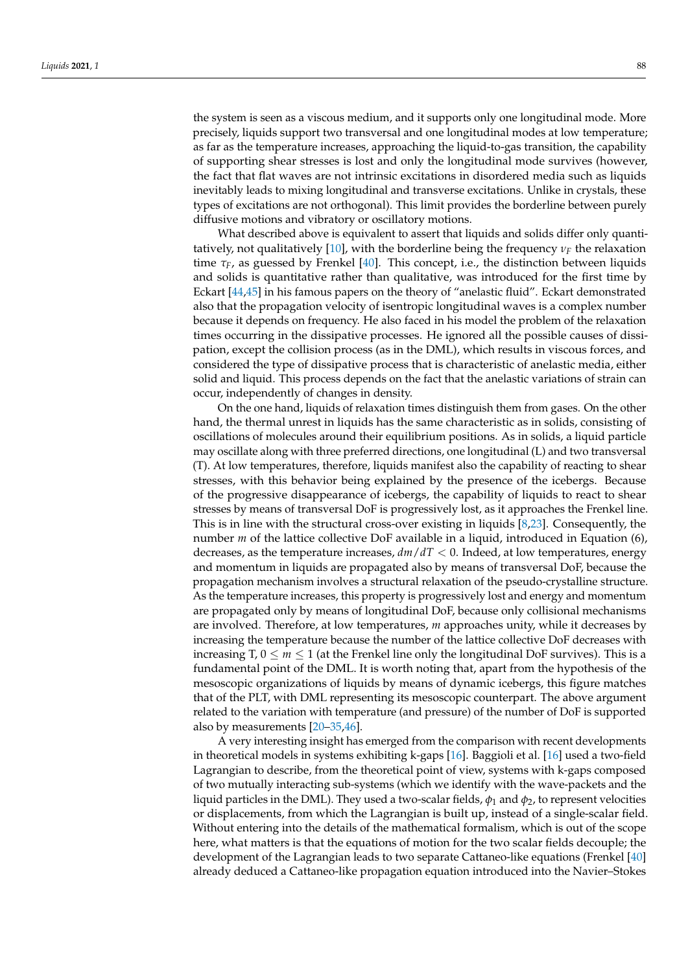the system is seen as a viscous medium, and it supports only one longitudinal mode. More precisely, liquids support two transversal and one longitudinal modes at low temperature; as far as the temperature increases, approaching the liquid-to-gas transition, the capability of supporting shear stresses is lost and only the longitudinal mode survives (however, the fact that flat waves are not intrinsic excitations in disordered media such as liquids inevitably leads to mixing longitudinal and transverse excitations. Unlike in crystals, these types of excitations are not orthogonal). This limit provides the borderline between purely diffusive motions and vibratory or oscillatory motions.

What described above is equivalent to assert that liquids and solids differ only quanti-tatively, not qualitatively [\[10\]](#page-17-19), with the borderline being the frequency  $\nu_F$  the relaxation time *τF*, as guessed by Frenkel [\[40\]](#page-18-5). This concept, i.e., the distinction between liquids and solids is quantitative rather than qualitative, was introduced for the first time by Eckart [\[44,](#page-18-9)[45\]](#page-18-10) in his famous papers on the theory of "anelastic fluid". Eckart demonstrated also that the propagation velocity of isentropic longitudinal waves is a complex number because it depends on frequency. He also faced in his model the problem of the relaxation times occurring in the dissipative processes. He ignored all the possible causes of dissipation, except the collision process (as in the DML), which results in viscous forces, and considered the type of dissipative process that is characteristic of anelastic media, either solid and liquid. This process depends on the fact that the anelastic variations of strain can occur, independently of changes in density.

On the one hand, liquids of relaxation times distinguish them from gases. On the other hand, the thermal unrest in liquids has the same characteristic as in solids, consisting of oscillations of molecules around their equilibrium positions. As in solids, a liquid particle may oscillate along with three preferred directions, one longitudinal (L) and two transversal (T). At low temperatures, therefore, liquids manifest also the capability of reacting to shear stresses, with this behavior being explained by the presence of the icebergs. Because of the progressive disappearance of icebergs, the capability of liquids to react to shear stresses by means of transversal DoF is progressively lost, as it approaches the Frenkel line. This is in line with the structural cross-over existing in liquids [\[8,](#page-17-20)[23\]](#page-17-17). Consequently, the number *m* of the lattice collective DoF available in a liquid, introduced in Equation (6), decreases, as the temperature increases, *dm*/*dT* < 0. Indeed, at low temperatures, energy and momentum in liquids are propagated also by means of transversal DoF, because the propagation mechanism involves a structural relaxation of the pseudo-crystalline structure. As the temperature increases, this property is progressively lost and energy and momentum are propagated only by means of longitudinal DoF, because only collisional mechanisms are involved. Therefore, at low temperatures, *m* approaches unity, while it decreases by increasing the temperature because the number of the lattice collective DoF decreases with increasing T,  $0 \le m \le 1$  (at the Frenkel line only the longitudinal DoF survives). This is a fundamental point of the DML. It is worth noting that, apart from the hypothesis of the mesoscopic organizations of liquids by means of dynamic icebergs, this figure matches that of the PLT, with DML representing its mesoscopic counterpart. The above argument related to the variation with temperature (and pressure) of the number of DoF is supported also by measurements [\[20–](#page-17-10)[35,](#page-18-0)[46\]](#page-18-11).

A very interesting insight has emerged from the comparison with recent developments in theoretical models in systems exhibiting k-gaps [\[16\]](#page-17-6). Baggioli et al. [\[16\]](#page-17-6) used a two-field Lagrangian to describe, from the theoretical point of view, systems with k-gaps composed of two mutually interacting sub-systems (which we identify with the wave-packets and the liquid particles in the DML). They used a two-scalar fields,  $\phi_1$  and  $\phi_2$ , to represent velocities or displacements, from which the Lagrangian is built up, instead of a single-scalar field. Without entering into the details of the mathematical formalism, which is out of the scope here, what matters is that the equations of motion for the two scalar fields decouple; the development of the Lagrangian leads to two separate Cattaneo-like equations (Frenkel [\[40\]](#page-18-5) already deduced a Cattaneo-like propagation equation introduced into the Navier–Stokes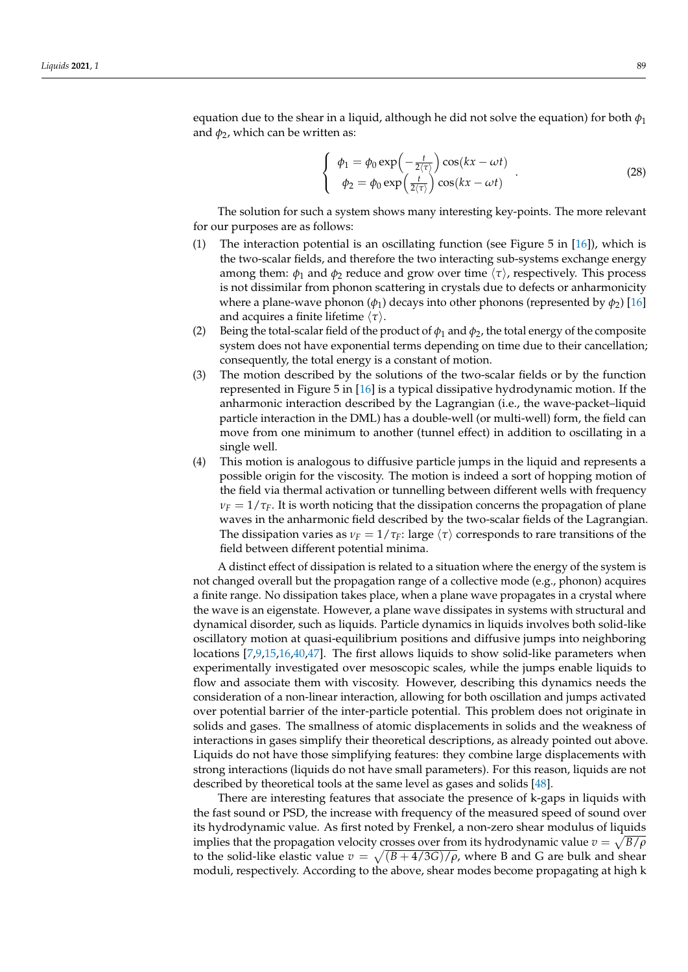equation due to the shear in a liquid, although he did not solve the equation) for both  $\phi_1$ and  $\phi_2$ , which can be written as:

$$
\begin{cases}\n\phi_1 = \phi_0 \exp\left(-\frac{t}{2\langle \tau \rangle}\right) \cos(kx - \omega t) \\
\phi_2 = \phi_0 \exp\left(\frac{t}{2\langle \tau \rangle}\right) \cos(kx - \omega t)\n\end{cases}.
$$
\n(28)

The solution for such a system shows many interesting key-points. The more relevant for our purposes are as follows:

- (1) The interaction potential is an oscillating function (see Figure 5 in  $[16]$ ), which is the two-scalar fields, and therefore the two interacting sub-systems exchange energy among them:  $\phi_1$  and  $\phi_2$  reduce and grow over time  $\langle \tau \rangle$ , respectively. This process is not dissimilar from phonon scattering in crystals due to defects or anharmonicity where a plane-wave phonon ( $\phi_1$ ) decays into other phonons (represented by  $\phi_2$ ) [\[16\]](#page-17-6) and acquires a finite lifetime  $\langle \tau \rangle$ .
- (2) Being the total-scalar field of the product of  $\phi_1$  and  $\phi_2$ , the total energy of the composite system does not have exponential terms depending on time due to their cancellation; consequently, the total energy is a constant of motion.
- (3) The motion described by the solutions of the two-scalar fields or by the function represented in Figure 5 in [\[16\]](#page-17-6) is a typical dissipative hydrodynamic motion. If the anharmonic interaction described by the Lagrangian (i.e., the wave-packet–liquid particle interaction in the DML) has a double-well (or multi-well) form, the field can move from one minimum to another (tunnel effect) in addition to oscillating in a single well.
- (4) This motion is analogous to diffusive particle jumps in the liquid and represents a possible origin for the viscosity. The motion is indeed a sort of hopping motion of the field via thermal activation or tunnelling between different wells with frequency  $\nu_F = 1/\tau_F$ . It is worth noticing that the dissipation concerns the propagation of plane waves in the anharmonic field described by the two-scalar fields of the Lagrangian. The dissipation varies as  $\nu_F = 1/\tau_F$ : large  $\langle \tau \rangle$  corresponds to rare transitions of the field between different potential minima.

A distinct effect of dissipation is related to a situation where the energy of the system is not changed overall but the propagation range of a collective mode (e.g., phonon) acquires a finite range. No dissipation takes place, when a plane wave propagates in a crystal where the wave is an eigenstate. However, a plane wave dissipates in systems with structural and dynamical disorder, such as liquids. Particle dynamics in liquids involves both solid-like oscillatory motion at quasi-equilibrium positions and diffusive jumps into neighboring locations [\[7,](#page-17-11)[9](#page-17-21)[,15,](#page-17-5)[16](#page-17-6)[,40,](#page-18-5)[47\]](#page-18-12). The first allows liquids to show solid-like parameters when experimentally investigated over mesoscopic scales, while the jumps enable liquids to flow and associate them with viscosity. However, describing this dynamics needs the consideration of a non-linear interaction, allowing for both oscillation and jumps activated over potential barrier of the inter-particle potential. This problem does not originate in solids and gases. The smallness of atomic displacements in solids and the weakness of interactions in gases simplify their theoretical descriptions, as already pointed out above. Liquids do not have those simplifying features: they combine large displacements with strong interactions (liquids do not have small parameters). For this reason, liquids are not described by theoretical tools at the same level as gases and solids [\[48\]](#page-18-13).

There are interesting features that associate the presence of k-gaps in liquids with the fast sound or PSD, the increase with frequency of the measured speed of sound over its hydrodynamic value. As first noted by Frenkel, a non-zero shear modulus of liquids implies that the propagation velocity crosses over from its hydrodynamic value  $v = \sqrt{B/\rho}$ to the solid-like elastic value  $v = \sqrt{(B + 4/3G)/\rho}$ , where B and G are bulk and shear moduli, respectively. According to the above, shear modes become propagating at high k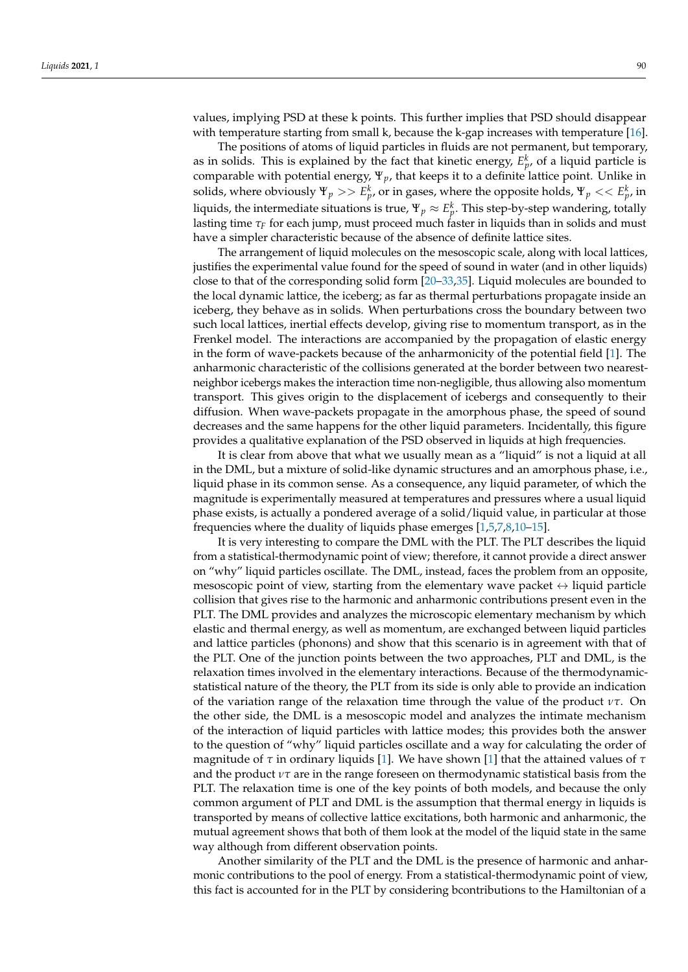values, implying PSD at these k points. This further implies that PSD should disappear with temperature starting from small k, because the k-gap increases with temperature [\[16\]](#page-17-6).

The positions of atoms of liquid particles in fluids are not permanent, but temporary, as in solids. This is explained by the fact that kinetic energy,  $E_p^k$ , of a liquid particle is comparable with potential energy, Ψ*p*, that keeps it to a definite lattice point. Unlike in solids, where obviously  $\Psi_p >> E^k_p$ , or in gases, where the opposite holds,  $\Psi_p << E^k_p$ , in liquids, the intermediate situations is true,  $\Psi_p \approx E_p^k$ . This step-by-step wandering, totally lasting time  $\tau_F$  for each jump, must proceed much faster in liquids than in solids and must have a simpler characteristic because of the absence of definite lattice sites.

The arrangement of liquid molecules on the mesoscopic scale, along with local lattices, justifies the experimental value found for the speed of sound in water (and in other liquids) close to that of the corresponding solid form [\[20–](#page-17-10)[33,](#page-17-22)[35\]](#page-18-0). Liquid molecules are bounded to the local dynamic lattice, the iceberg; as far as thermal perturbations propagate inside an iceberg, they behave as in solids. When perturbations cross the boundary between two such local lattices, inertial effects develop, giving rise to momentum transport, as in the Frenkel model. The interactions are accompanied by the propagation of elastic energy in the form of wave-packets because of the anharmonicity of the potential field [\[1\]](#page-17-0). The anharmonic characteristic of the collisions generated at the border between two nearestneighbor icebergs makes the interaction time non-negligible, thus allowing also momentum transport. This gives origin to the displacement of icebergs and consequently to their diffusion. When wave-packets propagate in the amorphous phase, the speed of sound decreases and the same happens for the other liquid parameters. Incidentally, this figure provides a qualitative explanation of the PSD observed in liquids at high frequencies.

It is clear from above that what we usually mean as a "liquid" is not a liquid at all in the DML, but a mixture of solid-like dynamic structures and an amorphous phase, i.e., liquid phase in its common sense. As a consequence, any liquid parameter, of which the magnitude is experimentally measured at temperatures and pressures where a usual liquid phase exists, is actually a pondered average of a solid/liquid value, in particular at those frequencies where the duality of liquids phase emerges [\[1](#page-17-0)[,5](#page-17-4)[,7](#page-17-11)[,8](#page-17-20)[,10](#page-17-19)[–15\]](#page-17-5).

It is very interesting to compare the DML with the PLT. The PLT describes the liquid from a statistical-thermodynamic point of view; therefore, it cannot provide a direct answer on "why" liquid particles oscillate. The DML, instead, faces the problem from an opposite, mesoscopic point of view, starting from the elementary wave packet  $\leftrightarrow$  liquid particle collision that gives rise to the harmonic and anharmonic contributions present even in the PLT. The DML provides and analyzes the microscopic elementary mechanism by which elastic and thermal energy, as well as momentum, are exchanged between liquid particles and lattice particles (phonons) and show that this scenario is in agreement with that of the PLT. One of the junction points between the two approaches, PLT and DML, is the relaxation times involved in the elementary interactions. Because of the thermodynamicstatistical nature of the theory, the PLT from its side is only able to provide an indication of the variation range of the relaxation time through the value of the product *ντ*. On the other side, the DML is a mesoscopic model and analyzes the intimate mechanism of the interaction of liquid particles with lattice modes; this provides both the answer to the question of "why" liquid particles oscillate and a way for calculating the order of magnitude of *τ* in ordinary liquids [\[1\]](#page-17-0). We have shown [\[1\]](#page-17-0) that the attained values of *τ* and the product *ντ* are in the range foreseen on thermodynamic statistical basis from the PLT. The relaxation time is one of the key points of both models, and because the only common argument of PLT and DML is the assumption that thermal energy in liquids is transported by means of collective lattice excitations, both harmonic and anharmonic, the mutual agreement shows that both of them look at the model of the liquid state in the same way although from different observation points.

Another similarity of the PLT and the DML is the presence of harmonic and anharmonic contributions to the pool of energy. From a statistical-thermodynamic point of view, this fact is accounted for in the PLT by considering bcontributions to the Hamiltonian of a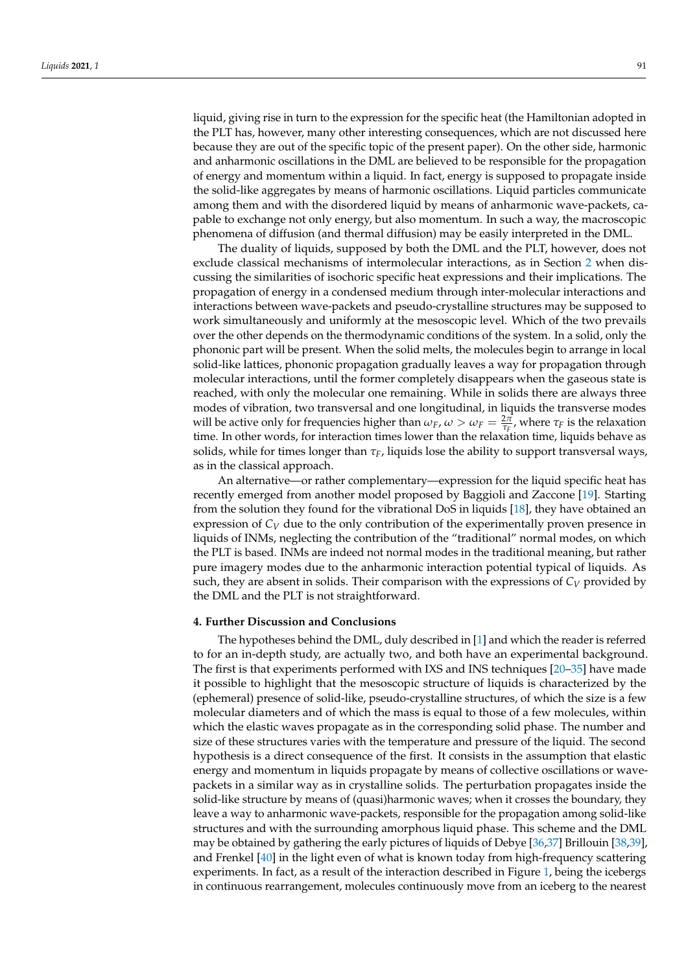liquid, giving rise in turn to the expression for the specific heat (the Hamiltonian adopted in the PLT has, however, many other interesting consequences, which are not discussed here because they are out of the specific topic of the present paper). On the other side, harmonic and anharmonic oscillations in the DML are believed to be responsible for the propagation of energy and momentum within a liquid. In fact, energy is supposed to propagate inside the solid-like aggregates by means of harmonic oscillations. Liquid particles communicate among them and with the disordered liquid by means of anharmonic wave-packets, capable to exchange not only energy, but also momentum. In such a way, the macroscopic phenomena of diffusion (and thermal diffusion) may be easily interpreted in the DML.

The duality of liquids, supposed by both the DML and the PLT, however, does not exclude classical mechanisms of intermolecular interactions, as in Section [2](#page-4-0) when discussing the similarities of isochoric specific heat expressions and their implications. The propagation of energy in a condensed medium through inter-molecular interactions and interactions between wave-packets and pseudo-crystalline structures may be supposed to work simultaneously and uniformly at the mesoscopic level. Which of the two prevails over the other depends on the thermodynamic conditions of the system. In a solid, only the phononic part will be present. When the solid melts, the molecules begin to arrange in local solid-like lattices, phononic propagation gradually leaves a way for propagation through molecular interactions, until the former completely disappears when the gaseous state is reached, with only the molecular one remaining. While in solids there are always three modes of vibration, two transversal and one longitudinal, in liquids the transverse modes will be active only for frequencies higher than  $\omega_F$ ,  $\omega > \omega_F = \frac{2\pi}{\tau_F}$ , where  $\tau_F$  is the relaxation time. In other words, for interaction times lower than the relaxation time, liquids behave as solids, while for times longer than  $\tau_F$ , liquids lose the ability to support transversal ways, as in the classical approach.

An alternative—or rather complementary—expression for the liquid specific heat has recently emerged from another model proposed by Baggioli and Zaccone [\[19\]](#page-17-9). Starting from the solution they found for the vibrational DoS in liquids [\[18\]](#page-17-8), they have obtained an expression of  $C_V$  due to the only contribution of the experimentally proven presence in liquids of INMs, neglecting the contribution of the "traditional" normal modes, on which the PLT is based. INMs are indeed not normal modes in the traditional meaning, but rather pure imagery modes due to the anharmonic interaction potential typical of liquids. As such, they are absent in solids. Their comparison with the expressions of  $C_V$  provided by the DML and the PLT is not straightforward.

#### <span id="page-14-0"></span>**4. Further Discussion and Conclusions**

The hypotheses behind the DML, duly described in [\[1\]](#page-17-0) and which the reader is referred to for an in-depth study, are actually two, and both have an experimental background. The first is that experiments performed with IXS and INS techniques [\[20](#page-17-10)[–35\]](#page-18-0) have made it possible to highlight that the mesoscopic structure of liquids is characterized by the (ephemeral) presence of solid-like, pseudo-crystalline structures, of which the size is a few molecular diameters and of which the mass is equal to those of a few molecules, within which the elastic waves propagate as in the corresponding solid phase. The number and size of these structures varies with the temperature and pressure of the liquid. The second hypothesis is a direct consequence of the first. It consists in the assumption that elastic energy and momentum in liquids propagate by means of collective oscillations or wavepackets in a similar way as in crystalline solids. The perturbation propagates inside the solid-like structure by means of (quasi)harmonic waves; when it crosses the boundary, they leave a way to anharmonic wave-packets, responsible for the propagation among solid-like structures and with the surrounding amorphous liquid phase. This scheme and the DML may be obtained by gathering the early pictures of liquids of Debye [\[36,](#page-18-1)[37\]](#page-18-2) Brillouin [\[38](#page-18-3)[,39\]](#page-18-4), and Frenkel [\[40\]](#page-18-5) in the light even of what is known today from high-frequency scattering experiments. In fact, as a result of the interaction described in Figure [1,](#page-2-0) being the icebergs in continuous rearrangement, molecules continuously move from an iceberg to the nearest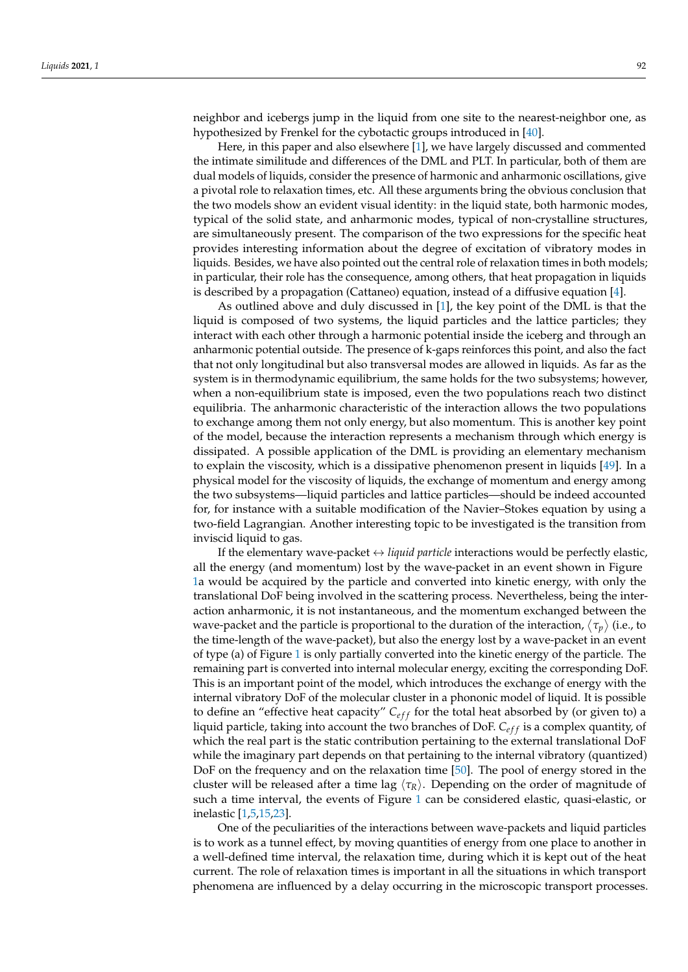neighbor and icebergs jump in the liquid from one site to the nearest-neighbor one, as hypothesized by Frenkel for the cybotactic groups introduced in [\[40\]](#page-18-5).

Here, in this paper and also elsewhere [\[1\]](#page-17-0), we have largely discussed and commented the intimate similitude and differences of the DML and PLT. In particular, both of them are dual models of liquids, consider the presence of harmonic and anharmonic oscillations, give a pivotal role to relaxation times, etc. All these arguments bring the obvious conclusion that the two models show an evident visual identity: in the liquid state, both harmonic modes, typical of the solid state, and anharmonic modes, typical of non-crystalline structures, are simultaneously present. The comparison of the two expressions for the specific heat provides interesting information about the degree of excitation of vibratory modes in liquids. Besides, we have also pointed out the central role of relaxation times in both models; in particular, their role has the consequence, among others, that heat propagation in liquids is described by a propagation (Cattaneo) equation, instead of a diffusive equation [\[4\]](#page-17-3).

As outlined above and duly discussed in [\[1\]](#page-17-0), the key point of the DML is that the liquid is composed of two systems, the liquid particles and the lattice particles; they interact with each other through a harmonic potential inside the iceberg and through an anharmonic potential outside. The presence of k-gaps reinforces this point, and also the fact that not only longitudinal but also transversal modes are allowed in liquids. As far as the system is in thermodynamic equilibrium, the same holds for the two subsystems; however, when a non-equilibrium state is imposed, even the two populations reach two distinct equilibria. The anharmonic characteristic of the interaction allows the two populations to exchange among them not only energy, but also momentum. This is another key point of the model, because the interaction represents a mechanism through which energy is dissipated. A possible application of the DML is providing an elementary mechanism to explain the viscosity, which is a dissipative phenomenon present in liquids [\[49\]](#page-18-14). In a physical model for the viscosity of liquids, the exchange of momentum and energy among the two subsystems—liquid particles and lattice particles—should be indeed accounted for, for instance with a suitable modification of the Navier–Stokes equation by using a two-field Lagrangian. Another interesting topic to be investigated is the transition from inviscid liquid to gas.

If the elementary wave-packet  $\leftrightarrow$  *liquid particle* interactions would be perfectly elastic, all the energy (and momentum) lost by the wave-packet in an event shown in Figure [1a](#page-2-0) would be acquired by the particle and converted into kinetic energy, with only the translational DoF being involved in the scattering process. Nevertheless, being the interaction anharmonic, it is not instantaneous, and the momentum exchanged between the wave-packet and the particle is proportional to the duration of the interaction,  $\langle \tau_p \rangle$  (i.e., to the time-length of the wave-packet), but also the energy lost by a wave-packet in an event of type (a) of Figure [1](#page-2-0) is only partially converted into the kinetic energy of the particle. The remaining part is converted into internal molecular energy, exciting the corresponding DoF. This is an important point of the model, which introduces the exchange of energy with the internal vibratory DoF of the molecular cluster in a phononic model of liquid. It is possible to define an "effective heat capacity"  $C_{eff}$  for the total heat absorbed by (or given to) a liquid particle, taking into account the two branches of DoF. C<sub>eff</sub> is a complex quantity, of which the real part is the static contribution pertaining to the external translational DoF while the imaginary part depends on that pertaining to the internal vibratory (quantized) DoF on the frequency and on the relaxation time [\[50\]](#page-18-15). The pool of energy stored in the cluster will be released after a time lag h*τR*i. Depending on the order of magnitude of such a time interval, the events of Figure [1](#page-2-0) can be considered elastic, quasi-elastic, or inelastic [\[1,](#page-17-0)[5,](#page-17-4)[15,](#page-17-5)[23\]](#page-17-17).

One of the peculiarities of the interactions between wave-packets and liquid particles is to work as a tunnel effect, by moving quantities of energy from one place to another in a well-defined time interval, the relaxation time, during which it is kept out of the heat current. The role of relaxation times is important in all the situations in which transport phenomena are influenced by a delay occurring in the microscopic transport processes.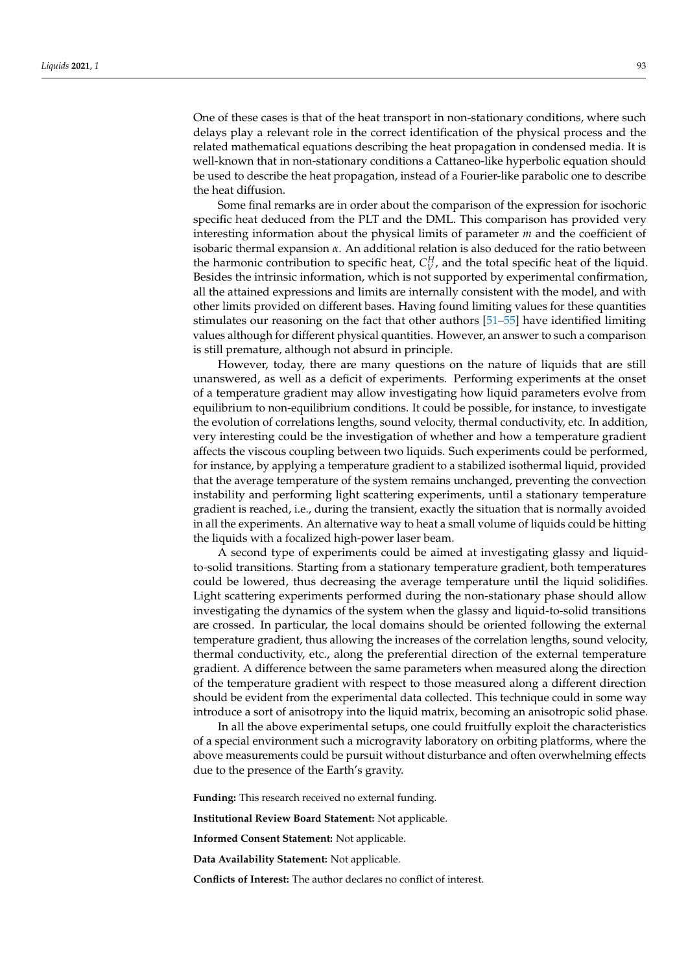One of these cases is that of the heat transport in non-stationary conditions, where such delays play a relevant role in the correct identification of the physical process and the related mathematical equations describing the heat propagation in condensed media. It is well-known that in non-stationary conditions a Cattaneo-like hyperbolic equation should be used to describe the heat propagation, instead of a Fourier-like parabolic one to describe the heat diffusion.

Some final remarks are in order about the comparison of the expression for isochoric specific heat deduced from the PLT and the DML. This comparison has provided very interesting information about the physical limits of parameter *m* and the coefficient of isobaric thermal expansion *α*. An additional relation is also deduced for the ratio between the harmonic contribution to specific heat,  $C_V^H$ , and the total specific heat of the liquid. Besides the intrinsic information, which is not supported by experimental confirmation, all the attained expressions and limits are internally consistent with the model, and with other limits provided on different bases. Having found limiting values for these quantities stimulates our reasoning on the fact that other authors [\[51](#page-18-16)[–55\]](#page-18-17) have identified limiting values although for different physical quantities. However, an answer to such a comparison is still premature, although not absurd in principle.

However, today, there are many questions on the nature of liquids that are still unanswered, as well as a deficit of experiments. Performing experiments at the onset of a temperature gradient may allow investigating how liquid parameters evolve from equilibrium to non-equilibrium conditions. It could be possible, for instance, to investigate the evolution of correlations lengths, sound velocity, thermal conductivity, etc. In addition, very interesting could be the investigation of whether and how a temperature gradient affects the viscous coupling between two liquids. Such experiments could be performed, for instance, by applying a temperature gradient to a stabilized isothermal liquid, provided that the average temperature of the system remains unchanged, preventing the convection instability and performing light scattering experiments, until a stationary temperature gradient is reached, i.e., during the transient, exactly the situation that is normally avoided in all the experiments. An alternative way to heat a small volume of liquids could be hitting the liquids with a focalized high-power laser beam.

A second type of experiments could be aimed at investigating glassy and liquidto-solid transitions. Starting from a stationary temperature gradient, both temperatures could be lowered, thus decreasing the average temperature until the liquid solidifies. Light scattering experiments performed during the non-stationary phase should allow investigating the dynamics of the system when the glassy and liquid-to-solid transitions are crossed. In particular, the local domains should be oriented following the external temperature gradient, thus allowing the increases of the correlation lengths, sound velocity, thermal conductivity, etc., along the preferential direction of the external temperature gradient. A difference between the same parameters when measured along the direction of the temperature gradient with respect to those measured along a different direction should be evident from the experimental data collected. This technique could in some way introduce a sort of anisotropy into the liquid matrix, becoming an anisotropic solid phase.

In all the above experimental setups, one could fruitfully exploit the characteristics of a special environment such a microgravity laboratory on orbiting platforms, where the above measurements could be pursuit without disturbance and often overwhelming effects due to the presence of the Earth's gravity.

**Funding:** This research received no external funding.

**Institutional Review Board Statement:** Not applicable.

**Informed Consent Statement:** Not applicable.

**Data Availability Statement:** Not applicable.

**Conflicts of Interest:** The author declares no conflict of interest.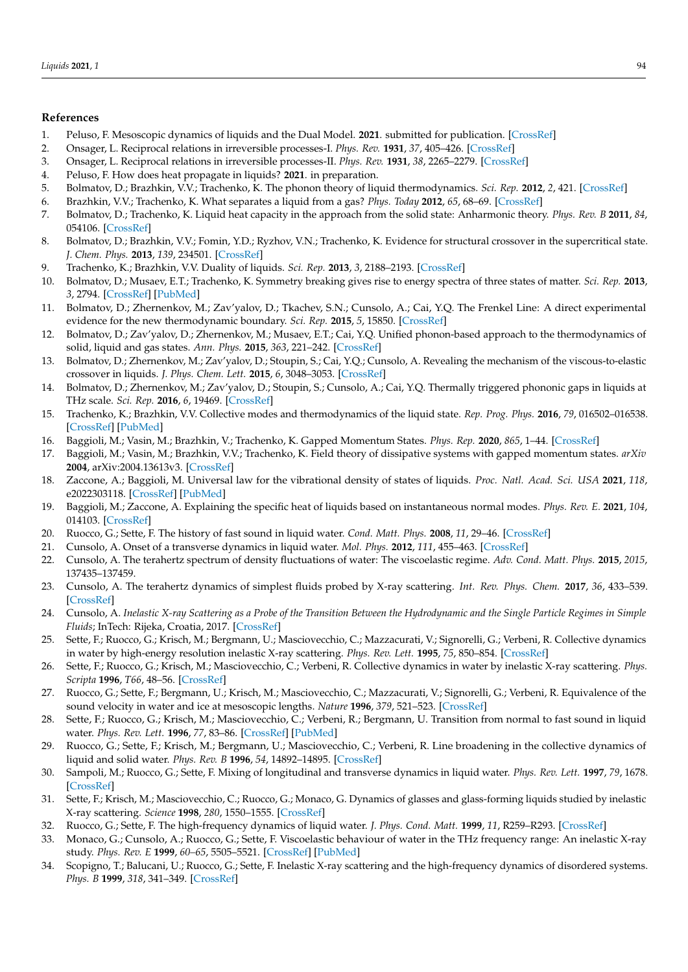### **References**

- <span id="page-17-0"></span>1. Peluso, F. Mesoscopic dynamics of liquids and the Dual Model. **2021**. submitted for publication. [\[CrossRef\]](http://doi.org/10.21203/rs.3.rs-205220/v1)
- <span id="page-17-1"></span>2. Onsager, L. Reciprocal relations in irreversible processes-I. *Phys. Rev.* **1931**, *37*, 405–426. [\[CrossRef\]](http://doi.org/10.1103/PhysRev.37.405)
- <span id="page-17-2"></span>3. Onsager, L. Reciprocal relations in irreversible processes-II. *Phys. Rev.* **1931**, *38*, 2265–2279. [\[CrossRef\]](http://doi.org/10.1103/PhysRev.38.2265)
- <span id="page-17-3"></span>4. Peluso, F. How does heat propagate in liquids? **2021**. in preparation.
- <span id="page-17-4"></span>5. Bolmatov, D.; Brazhkin, V.V.; Trachenko, K. The phonon theory of liquid thermodynamics. *Sci. Rep.* **2012**, *2*, 421. [\[CrossRef\]](http://doi.org/10.1038/srep00421)
- <span id="page-17-16"></span>6. Brazhkin, V.V.; Trachenko, K. What separates a liquid from a gas? *Phys. Today* **2012**, *65*, 68–69. [\[CrossRef\]](http://doi.org/10.1063/PT.3.1796)
- <span id="page-17-11"></span>7. Bolmatov, D.; Trachenko, K. Liquid heat capacity in the approach from the solid state: Anharmonic theory. *Phys. Rev. B* **2011**, *84*, 054106. [\[CrossRef\]](http://doi.org/10.1103/PhysRevB.84.054106)
- <span id="page-17-20"></span>8. Bolmatov, D.; Brazhkin, V.V.; Fomin, Y.D.; Ryzhov, V.N.; Trachenko, K. Evidence for structural crossover in the supercritical state. *J. Chem. Phys.* **2013**, *139*, 234501. [\[CrossRef\]](http://doi.org/10.1063/1.4844135)
- <span id="page-17-21"></span>9. Trachenko, K.; Brazhkin, V.V. Duality of liquids. *Sci. Rep.* **2013**, *3*, 2188–2193. [\[CrossRef\]](http://doi.org/10.1038/srep02188)
- <span id="page-17-19"></span>10. Bolmatov, D.; Musaev, E.T.; Trachenko, K. Symmetry breaking gives rise to energy spectra of three states of matter. *Sci. Rep.* **2013**, *3*, 2794. [\[CrossRef\]](http://doi.org/10.1038/srep02794) [\[PubMed\]](http://www.ncbi.nlm.nih.gov/pubmed/24077388)
- 11. Bolmatov, D.; Zhernenkov, M.; Zav'yalov, D.; Tkachev, S.N.; Cunsolo, A.; Cai, Y.Q. The Frenkel Line: A direct experimental evidence for the new thermodynamic boundary. *Sci. Rep.* **2015**, *5*, 15850. [\[CrossRef\]](http://doi.org/10.1038/srep15850)
- 12. Bolmatov, D.; Zav'yalov, D.; Zhernenkov, M.; Musaev, E.T.; Cai, Y.Q. Unified phonon-based approach to the thermodynamics of solid, liquid and gas states. *Ann. Phys.* **2015**, *363*, 221–242. [\[CrossRef\]](http://doi.org/10.1016/j.aop.2015.09.018)
- 13. Bolmatov, D.; Zhernenkov, M.; Zav'yalov, D.; Stoupin, S.; Cai, Y.Q.; Cunsolo, A. Revealing the mechanism of the viscous-to-elastic crossover in liquids. *J. Phys. Chem. Lett.* **2015**, *6*, 3048–3053. [\[CrossRef\]](http://doi.org/10.1021/acs.jpclett.5b01338)
- 14. Bolmatov, D.; Zhernenkov, M.; Zav'yalov, D.; Stoupin, S.; Cunsolo, A.; Cai, Y.Q. Thermally triggered phononic gaps in liquids at THz scale. *Sci. Rep.* **2016**, *6*, 19469. [\[CrossRef\]](http://doi.org/10.1038/srep19469)
- <span id="page-17-5"></span>15. Trachenko, K.; Brazhkin, V.V. Collective modes and thermodynamics of the liquid state. *Rep. Prog. Phys.* **2016**, *79*, 016502–016538. [\[CrossRef\]](http://doi.org/10.1088/0034-4885/79/1/016502) [\[PubMed\]](http://www.ncbi.nlm.nih.gov/pubmed/26696098)
- <span id="page-17-6"></span>16. Baggioli, M.; Vasin, M.; Brazhkin, V.; Trachenko, K. Gapped Momentum States. *Phys. Rep.* **2020**, *865*, 1–44. [\[CrossRef\]](http://doi.org/10.1016/j.physrep.2020.04.002)
- <span id="page-17-7"></span>17. Baggioli, M.; Vasin, M.; Brazhkin, V.V.; Trachenko, K. Field theory of dissipative systems with gapped momentum states. *arXiv* **2004**, arXiv:2004.13613v3. [\[CrossRef\]](http://doi.org/10.1103/PhysRevD.102.025012)
- <span id="page-17-8"></span>18. Zaccone, A.; Baggioli, M. Universal law for the vibrational density of states of liquids. *Proc. Natl. Acad. Sci. USA* **2021**, *118*, e2022303118. [\[CrossRef\]](http://doi.org/10.1073/pnas.2022303118) [\[PubMed\]](http://www.ncbi.nlm.nih.gov/pubmed/33495319)
- <span id="page-17-9"></span>19. Baggioli, M.; Zaccone, A. Explaining the specific heat of liquids based on instantaneous normal modes. *Phys. Rev. E.* **2021**, *104*, 014103. [\[CrossRef\]](http://doi.org/10.1103/PhysRevE.104.014103)
- <span id="page-17-10"></span>20. Ruocco, G.; Sette, F. The history of fast sound in liquid water. *Cond. Matt. Phys.* **2008**, *11*, 29–46. [\[CrossRef\]](http://doi.org/10.5488/CMP.11.1.29)
- 21. Cunsolo, A. Onset of a transverse dynamics in liquid water. *Mol. Phys.* **2012**, *111*, 455–463. [\[CrossRef\]](http://doi.org/10.1080/00268976.2012.728258)
- <span id="page-17-15"></span>22. Cunsolo, A. The terahertz spectrum of density fluctuations of water: The viscoelastic regime. *Adv. Cond. Matt. Phys.* **2015**, *2015*, 137435–137459.
- <span id="page-17-17"></span>23. Cunsolo, A. The terahertz dynamics of simplest fluids probed by X-ray scattering. *Int. Rev. Phys. Chem.* **2017**, *36*, 433–539. [\[CrossRef\]](http://doi.org/10.1080/0144235X.2017.1331900)
- <span id="page-17-18"></span>24. Cunsolo, A. *Inelastic X-ray Scattering as a Probe of the Transition Between the Hydrodynamic and the Single Particle Regimes in Simple Fluids*; InTech: Rijeka, Croatia, 2017. [\[CrossRef\]](http://doi.org/10.5772/66126)
- <span id="page-17-13"></span>25. Sette, F.; Ruocco, G.; Krisch, M.; Bergmann, U.; Masciovecchio, C.; Mazzacurati, V.; Signorelli, G.; Verbeni, R. Collective dynamics in water by high-energy resolution inelastic X-ray scattering. *Phys. Rev. Lett.* **1995**, *75*, 850–854. [\[CrossRef\]](http://doi.org/10.1103/PhysRevLett.75.850)
- 26. Sette, F.; Ruocco, G.; Krisch, M.; Masciovecchio, C.; Verbeni, R. Collective dynamics in water by inelastic X-ray scattering. *Phys. Scripta* **1996**, *T66*, 48–56. [\[CrossRef\]](http://doi.org/10.1088/0031-8949/1996/T66/006)
- <span id="page-17-12"></span>27. Ruocco, G.; Sette, F.; Bergmann, U.; Krisch, M.; Masciovecchio, C.; Mazzacurati, V.; Signorelli, G.; Verbeni, R. Equivalence of the sound velocity in water and ice at mesoscopic lengths. *Nature* **1996**, *379*, 521–523. [\[CrossRef\]](http://doi.org/10.1038/379521a0)
- 28. Sette, F.; Ruocco, G.; Krisch, M.; Masciovecchio, C.; Verbeni, R.; Bergmann, U. Transition from normal to fast sound in liquid water. *Phys. Rev. Lett.* **1996**, *77*, 83–86. [\[CrossRef\]](http://doi.org/10.1103/PhysRevLett.77.83) [\[PubMed\]](http://www.ncbi.nlm.nih.gov/pubmed/10061777)
- 29. Ruocco, G.; Sette, F.; Krisch, M.; Bergmann, U.; Masciovecchio, C.; Verbeni, R. Line broadening in the collective dynamics of liquid and solid water. *Phys. Rev. B* **1996**, *54*, 14892–14895. [\[CrossRef\]](http://doi.org/10.1103/PhysRevB.54.14892)
- 30. Sampoli, M.; Ruocco, G.; Sette, F. Mixing of longitudinal and transverse dynamics in liquid water. *Phys. Rev. Lett.* **1997**, *79*, 1678. [\[CrossRef\]](http://doi.org/10.1103/PhysRevLett.79.1678)
- 31. Sette, F.; Krisch, M.; Masciovecchio, C.; Ruocco, G.; Monaco, G. Dynamics of glasses and glass-forming liquids studied by inelastic X-ray scattering. *Science* **1998**, *280*, 1550–1555. [\[CrossRef\]](http://doi.org/10.1126/science.280.5369.1550)
- <span id="page-17-14"></span>32. Ruocco, G.; Sette, F. The high-frequency dynamics of liquid water. *J. Phys. Cond. Matt.* **1999**, *11*, R259–R293. [\[CrossRef\]](http://doi.org/10.1088/0953-8984/11/24/202)
- <span id="page-17-22"></span>33. Monaco, G.; Cunsolo, A.; Ruocco, G.; Sette, F. Viscoelastic behaviour of water in the THz frequency range: An inelastic X-ray study. *Phys. Rev. E* **1999**, *60–65*, 5505–5521. [\[CrossRef\]](http://doi.org/10.1103/PhysRevE.60.5505) [\[PubMed\]](http://www.ncbi.nlm.nih.gov/pubmed/11970425)
- 34. Scopigno, T.; Balucani, U.; Ruocco, G.; Sette, F. Inelastic X-ray scattering and the high-frequency dynamics of disordered systems. *Phys. B* **1999**, *318*, 341–349. [\[CrossRef\]](http://doi.org/10.1016/S0921-4526(02)00803-7)